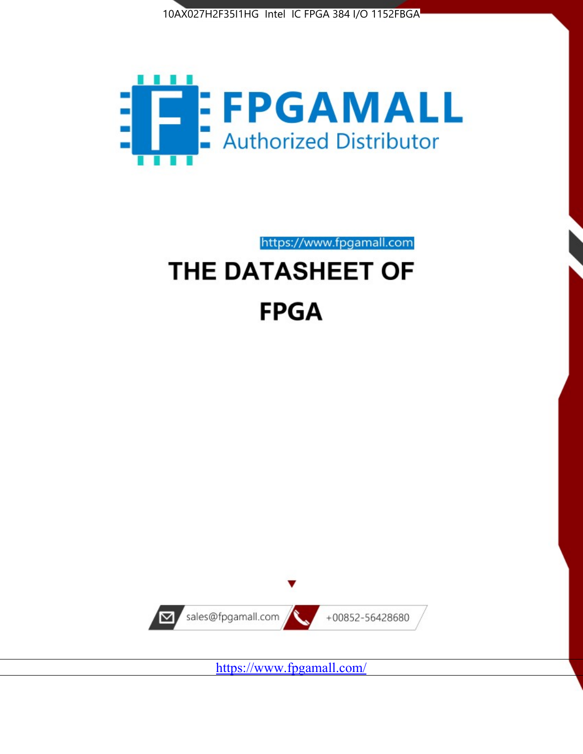



https://www.fpgamall.com THE DATASHEET OF

# **FPGA**



<https://www.fpgamall.com/>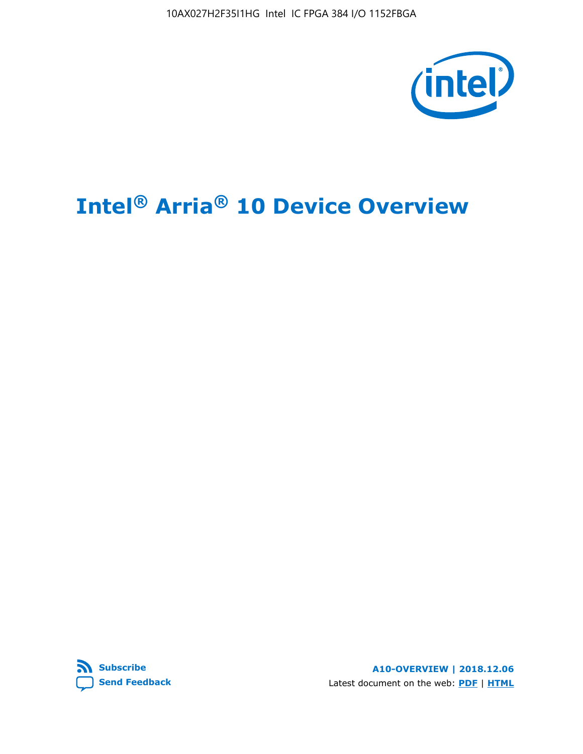10AX027H2F35I1HG Intel IC FPGA 384 I/O 1152FBGA



# **Intel® Arria® 10 Device Overview**



**A10-OVERVIEW | 2018.12.06** Latest document on the web: **[PDF](https://www.intel.com/content/dam/www/programmable/us/en/pdfs/literature/hb/arria-10/a10_overview.pdf)** | **[HTML](https://www.intel.com/content/www/us/en/programmable/documentation/sam1403480274650.html)**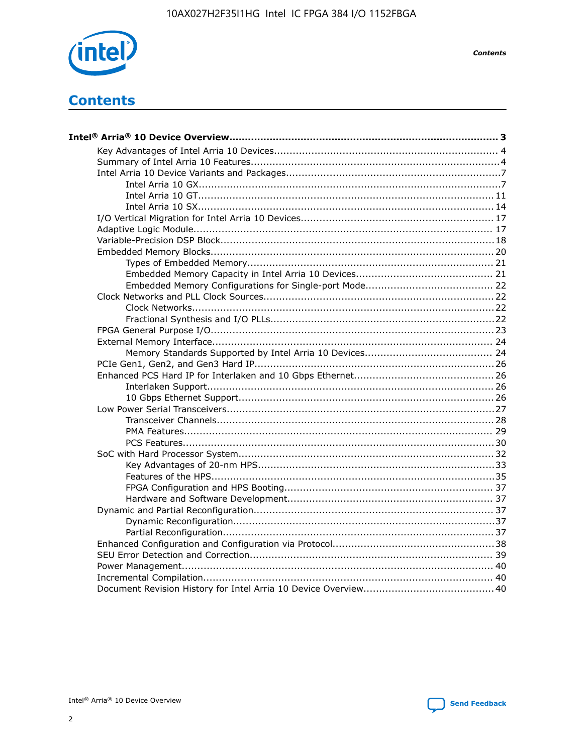

**Contents** 

# **Contents**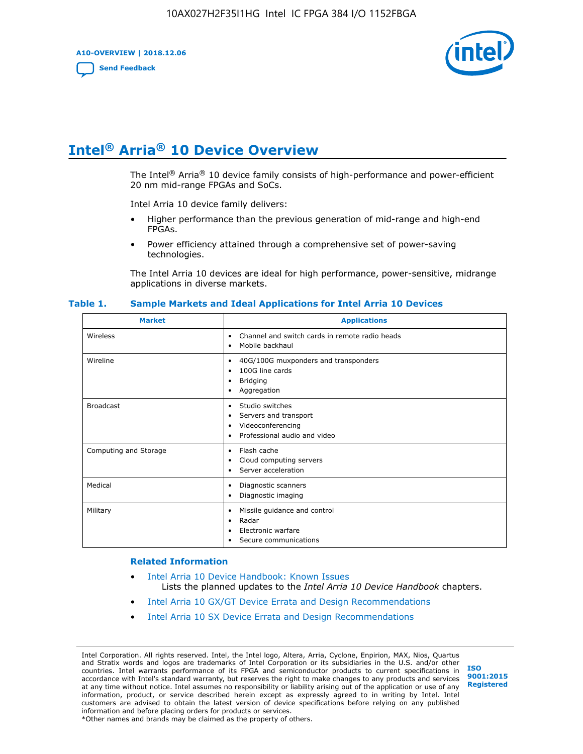**A10-OVERVIEW | 2018.12.06**

**[Send Feedback](mailto:FPGAtechdocfeedback@intel.com?subject=Feedback%20on%20Intel%20Arria%2010%20Device%20Overview%20(A10-OVERVIEW%202018.12.06)&body=We%20appreciate%20your%20feedback.%20In%20your%20comments,%20also%20specify%20the%20page%20number%20or%20paragraph.%20Thank%20you.)**



# **Intel® Arria® 10 Device Overview**

The Intel<sup>®</sup> Arria<sup>®</sup> 10 device family consists of high-performance and power-efficient 20 nm mid-range FPGAs and SoCs.

Intel Arria 10 device family delivers:

- Higher performance than the previous generation of mid-range and high-end FPGAs.
- Power efficiency attained through a comprehensive set of power-saving technologies.

The Intel Arria 10 devices are ideal for high performance, power-sensitive, midrange applications in diverse markets.

| <b>Market</b>         | <b>Applications</b>                                                                                               |
|-----------------------|-------------------------------------------------------------------------------------------------------------------|
| Wireless              | Channel and switch cards in remote radio heads<br>٠<br>Mobile backhaul<br>٠                                       |
| Wireline              | 40G/100G muxponders and transponders<br>٠<br>100G line cards<br>٠<br><b>Bridging</b><br>٠<br>Aggregation<br>٠     |
| <b>Broadcast</b>      | Studio switches<br>٠<br>Servers and transport<br>٠<br>Videoconferencing<br>٠<br>Professional audio and video<br>٠ |
| Computing and Storage | Flash cache<br>٠<br>Cloud computing servers<br>٠<br>Server acceleration<br>٠                                      |
| Medical               | Diagnostic scanners<br>٠<br>Diagnostic imaging<br>٠                                                               |
| Military              | Missile guidance and control<br>٠<br>Radar<br>٠<br>Electronic warfare<br>٠<br>Secure communications<br>٠          |

#### **Table 1. Sample Markets and Ideal Applications for Intel Arria 10 Devices**

#### **Related Information**

- [Intel Arria 10 Device Handbook: Known Issues](http://www.altera.com/support/kdb/solutions/rd07302013_646.html) Lists the planned updates to the *Intel Arria 10 Device Handbook* chapters.
- [Intel Arria 10 GX/GT Device Errata and Design Recommendations](https://www.intel.com/content/www/us/en/programmable/documentation/agz1493851706374.html#yqz1494433888646)
- [Intel Arria 10 SX Device Errata and Design Recommendations](https://www.intel.com/content/www/us/en/programmable/documentation/cru1462832385668.html#cru1462832558642)

Intel Corporation. All rights reserved. Intel, the Intel logo, Altera, Arria, Cyclone, Enpirion, MAX, Nios, Quartus and Stratix words and logos are trademarks of Intel Corporation or its subsidiaries in the U.S. and/or other countries. Intel warrants performance of its FPGA and semiconductor products to current specifications in accordance with Intel's standard warranty, but reserves the right to make changes to any products and services at any time without notice. Intel assumes no responsibility or liability arising out of the application or use of any information, product, or service described herein except as expressly agreed to in writing by Intel. Intel customers are advised to obtain the latest version of device specifications before relying on any published information and before placing orders for products or services. \*Other names and brands may be claimed as the property of others.

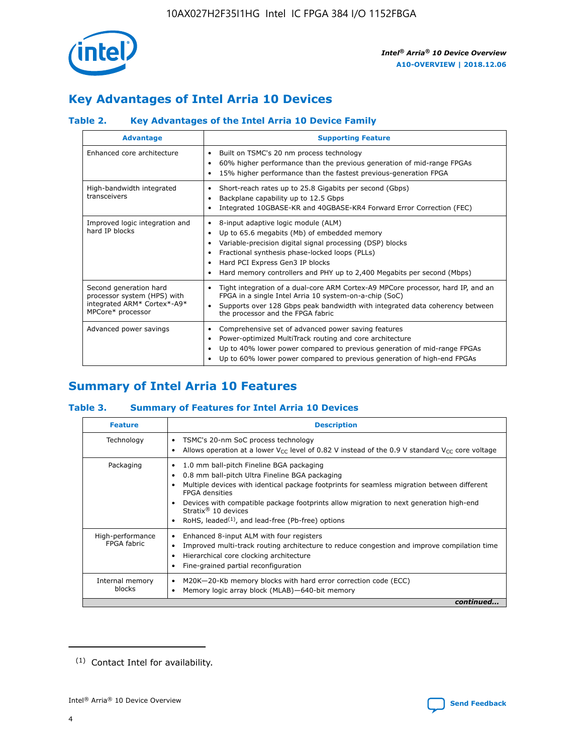

# **Key Advantages of Intel Arria 10 Devices**

# **Table 2. Key Advantages of the Intel Arria 10 Device Family**

| <b>Advantage</b>                                                                                          | <b>Supporting Feature</b>                                                                                                                                                                                                                                                                                                |
|-----------------------------------------------------------------------------------------------------------|--------------------------------------------------------------------------------------------------------------------------------------------------------------------------------------------------------------------------------------------------------------------------------------------------------------------------|
| Enhanced core architecture                                                                                | Built on TSMC's 20 nm process technology<br>٠<br>60% higher performance than the previous generation of mid-range FPGAs<br>٠<br>15% higher performance than the fastest previous-generation FPGA<br>٠                                                                                                                    |
| High-bandwidth integrated<br>transceivers                                                                 | Short-reach rates up to 25.8 Gigabits per second (Gbps)<br>٠<br>Backplane capability up to 12.5 Gbps<br>٠<br>Integrated 10GBASE-KR and 40GBASE-KR4 Forward Error Correction (FEC)<br>٠                                                                                                                                   |
| Improved logic integration and<br>hard IP blocks                                                          | 8-input adaptive logic module (ALM)<br>٠<br>Up to 65.6 megabits (Mb) of embedded memory<br>٠<br>Variable-precision digital signal processing (DSP) blocks<br>Fractional synthesis phase-locked loops (PLLs)<br>Hard PCI Express Gen3 IP blocks<br>Hard memory controllers and PHY up to 2,400 Megabits per second (Mbps) |
| Second generation hard<br>processor system (HPS) with<br>integrated ARM* Cortex*-A9*<br>MPCore* processor | Tight integration of a dual-core ARM Cortex-A9 MPCore processor, hard IP, and an<br>٠<br>FPGA in a single Intel Arria 10 system-on-a-chip (SoC)<br>Supports over 128 Gbps peak bandwidth with integrated data coherency between<br>$\bullet$<br>the processor and the FPGA fabric                                        |
| Advanced power savings                                                                                    | Comprehensive set of advanced power saving features<br>٠<br>Power-optimized MultiTrack routing and core architecture<br>٠<br>Up to 40% lower power compared to previous generation of mid-range FPGAs<br>٠<br>Up to 60% lower power compared to previous generation of high-end FPGAs                                    |

# **Summary of Intel Arria 10 Features**

## **Table 3. Summary of Features for Intel Arria 10 Devices**

| <b>Feature</b>                  | <b>Description</b>                                                                                                                                                                                                                                                                                                                                                                                       |
|---------------------------------|----------------------------------------------------------------------------------------------------------------------------------------------------------------------------------------------------------------------------------------------------------------------------------------------------------------------------------------------------------------------------------------------------------|
| Technology                      | TSMC's 20-nm SoC process technology<br>٠<br>Allows operation at a lower $V_{\text{CC}}$ level of 0.82 V instead of the 0.9 V standard $V_{\text{CC}}$ core voltage                                                                                                                                                                                                                                       |
| Packaging                       | 1.0 mm ball-pitch Fineline BGA packaging<br>0.8 mm ball-pitch Ultra Fineline BGA packaging<br>Multiple devices with identical package footprints for seamless migration between different<br><b>FPGA</b> densities<br>Devices with compatible package footprints allow migration to next generation high-end<br>Stratix $\mathcal{R}$ 10 devices<br>RoHS, leaded $(1)$ , and lead-free (Pb-free) options |
| High-performance<br>FPGA fabric | Enhanced 8-input ALM with four registers<br>٠<br>Improved multi-track routing architecture to reduce congestion and improve compilation time<br>Hierarchical core clocking architecture<br>Fine-grained partial reconfiguration                                                                                                                                                                          |
| Internal memory<br>blocks       | M20K-20-Kb memory blocks with hard error correction code (ECC)<br>Memory logic array block (MLAB)-640-bit memory                                                                                                                                                                                                                                                                                         |
|                                 | continued                                                                                                                                                                                                                                                                                                                                                                                                |



<sup>(1)</sup> Contact Intel for availability.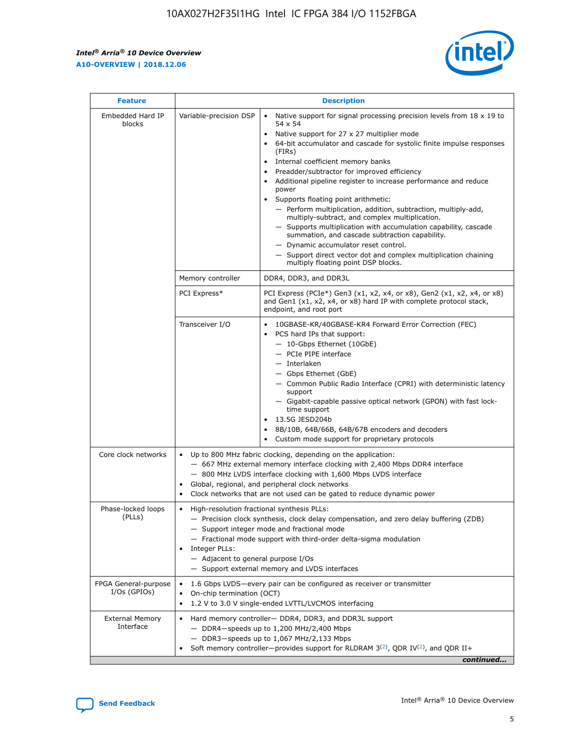r



| <b>Feature</b>                         |                                                                                                                                                                                                                                                                                                                          | <b>Description</b>                                                                                                                                                                                                                                                                                                                                                                                                                                                                                                                                                                                                                                                                                                                                                                                                                     |  |  |  |  |
|----------------------------------------|--------------------------------------------------------------------------------------------------------------------------------------------------------------------------------------------------------------------------------------------------------------------------------------------------------------------------|----------------------------------------------------------------------------------------------------------------------------------------------------------------------------------------------------------------------------------------------------------------------------------------------------------------------------------------------------------------------------------------------------------------------------------------------------------------------------------------------------------------------------------------------------------------------------------------------------------------------------------------------------------------------------------------------------------------------------------------------------------------------------------------------------------------------------------------|--|--|--|--|
| Embedded Hard IP<br>blocks             | Variable-precision DSP                                                                                                                                                                                                                                                                                                   | Native support for signal processing precision levels from $18 \times 19$ to<br>54 x 54<br>Native support for 27 x 27 multiplier mode<br>64-bit accumulator and cascade for systolic finite impulse responses<br>(FIRs)<br>Internal coefficient memory banks<br>$\bullet$<br>Preadder/subtractor for improved efficiency<br>Additional pipeline register to increase performance and reduce<br>power<br>Supports floating point arithmetic:<br>- Perform multiplication, addition, subtraction, multiply-add,<br>multiply-subtract, and complex multiplication.<br>- Supports multiplication with accumulation capability, cascade<br>summation, and cascade subtraction capability.<br>- Dynamic accumulator reset control.<br>- Support direct vector dot and complex multiplication chaining<br>multiply floating point DSP blocks. |  |  |  |  |
|                                        | Memory controller                                                                                                                                                                                                                                                                                                        | DDR4, DDR3, and DDR3L                                                                                                                                                                                                                                                                                                                                                                                                                                                                                                                                                                                                                                                                                                                                                                                                                  |  |  |  |  |
|                                        | PCI Express*                                                                                                                                                                                                                                                                                                             | PCI Express (PCIe*) Gen3 (x1, x2, x4, or x8), Gen2 (x1, x2, x4, or x8)<br>and Gen1 (x1, x2, x4, or x8) hard IP with complete protocol stack,<br>endpoint, and root port                                                                                                                                                                                                                                                                                                                                                                                                                                                                                                                                                                                                                                                                |  |  |  |  |
|                                        | Transceiver I/O                                                                                                                                                                                                                                                                                                          | 10GBASE-KR/40GBASE-KR4 Forward Error Correction (FEC)<br>PCS hard IPs that support:<br>$\bullet$<br>- 10-Gbps Ethernet (10GbE)<br>- PCIe PIPE interface<br>$-$ Interlaken<br>- Gbps Ethernet (GbE)<br>- Common Public Radio Interface (CPRI) with deterministic latency<br>support<br>- Gigabit-capable passive optical network (GPON) with fast lock-<br>time support<br>13.5G JESD204b<br>$\bullet$<br>8B/10B, 64B/66B, 64B/67B encoders and decoders<br>Custom mode support for proprietary protocols                                                                                                                                                                                                                                                                                                                               |  |  |  |  |
| Core clock networks                    | $\bullet$<br>$\bullet$                                                                                                                                                                                                                                                                                                   | Up to 800 MHz fabric clocking, depending on the application:<br>- 667 MHz external memory interface clocking with 2,400 Mbps DDR4 interface<br>- 800 MHz LVDS interface clocking with 1,600 Mbps LVDS interface<br>Global, regional, and peripheral clock networks<br>Clock networks that are not used can be gated to reduce dynamic power                                                                                                                                                                                                                                                                                                                                                                                                                                                                                            |  |  |  |  |
| Phase-locked loops<br>(PLLs)           | High-resolution fractional synthesis PLLs:<br>$\bullet$<br>Integer PLLs:<br>- Adjacent to general purpose I/Os                                                                                                                                                                                                           | - Precision clock synthesis, clock delay compensation, and zero delay buffering (ZDB)<br>- Support integer mode and fractional mode<br>- Fractional mode support with third-order delta-sigma modulation<br>- Support external memory and LVDS interfaces                                                                                                                                                                                                                                                                                                                                                                                                                                                                                                                                                                              |  |  |  |  |
| FPGA General-purpose<br>$I/Os$ (GPIOs) | On-chip termination (OCT)                                                                                                                                                                                                                                                                                                | 1.6 Gbps LVDS-every pair can be configured as receiver or transmitter                                                                                                                                                                                                                                                                                                                                                                                                                                                                                                                                                                                                                                                                                                                                                                  |  |  |  |  |
| <b>External Memory</b><br>Interface    | 1.2 V to 3.0 V single-ended LVTTL/LVCMOS interfacing<br>Hard memory controller- DDR4, DDR3, and DDR3L support<br>$-$ DDR4 $-$ speeds up to 1,200 MHz/2,400 Mbps<br>- DDR3-speeds up to 1,067 MHz/2,133 Mbps<br>Soft memory controller—provides support for RLDRAM $3^{(2)}$ , QDR IV $^{(2)}$ , and QDR II+<br>continued |                                                                                                                                                                                                                                                                                                                                                                                                                                                                                                                                                                                                                                                                                                                                                                                                                                        |  |  |  |  |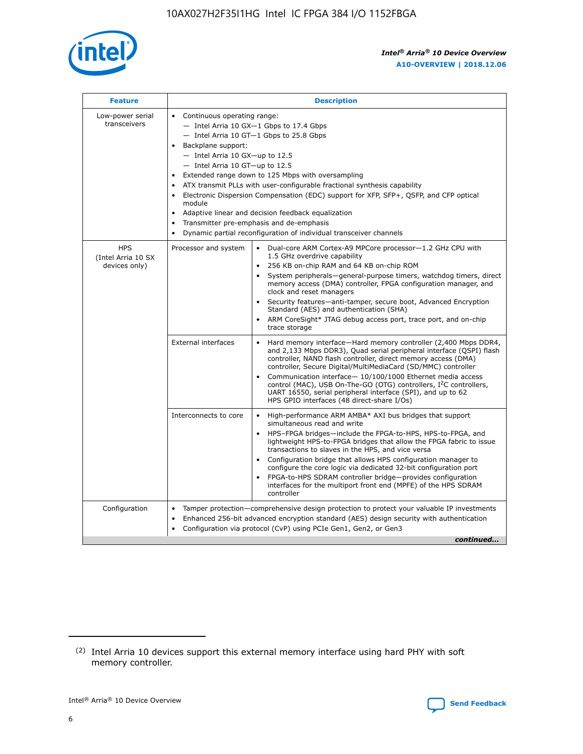

| <b>Feature</b>                                    | <b>Description</b>                                                                                                                                                                                                                                                                                                                                                                                                                                                                                                                                                                                                                                  |
|---------------------------------------------------|-----------------------------------------------------------------------------------------------------------------------------------------------------------------------------------------------------------------------------------------------------------------------------------------------------------------------------------------------------------------------------------------------------------------------------------------------------------------------------------------------------------------------------------------------------------------------------------------------------------------------------------------------------|
| Low-power serial<br>transceivers                  | • Continuous operating range:<br>- Intel Arria 10 GX-1 Gbps to 17.4 Gbps<br>- Intel Arria 10 GT-1 Gbps to 25.8 Gbps<br>Backplane support:<br>- Intel Arria 10 GX-up to 12.5<br>- Intel Arria 10 GT-up to 12.5<br>Extended range down to 125 Mbps with oversampling<br>ATX transmit PLLs with user-configurable fractional synthesis capability<br>Electronic Dispersion Compensation (EDC) support for XFP, SFP+, QSFP, and CFP optical<br>module<br>Adaptive linear and decision feedback equalization<br>$\bullet$<br>Transmitter pre-emphasis and de-emphasis<br>$\bullet$<br>Dynamic partial reconfiguration of individual transceiver channels |
| <b>HPS</b><br>(Intel Arria 10 SX<br>devices only) | Dual-core ARM Cortex-A9 MPCore processor-1.2 GHz CPU with<br>Processor and system<br>$\bullet$<br>1.5 GHz overdrive capability<br>256 KB on-chip RAM and 64 KB on-chip ROM<br>System peripherals—general-purpose timers, watchdog timers, direct<br>memory access (DMA) controller, FPGA configuration manager, and<br>clock and reset managers<br>Security features-anti-tamper, secure boot, Advanced Encryption<br>Standard (AES) and authentication (SHA)<br>ARM CoreSight* JTAG debug access port, trace port, and on-chip<br>trace storage                                                                                                    |
|                                                   | <b>External interfaces</b><br>Hard memory interface-Hard memory controller (2,400 Mbps DDR4,<br>$\bullet$<br>and 2,133 Mbps DDR3), Quad serial peripheral interface (QSPI) flash<br>controller, NAND flash controller, direct memory access (DMA)<br>controller, Secure Digital/MultiMediaCard (SD/MMC) controller<br>Communication interface-10/100/1000 Ethernet media access<br>control (MAC), USB On-The-GO (OTG) controllers, I <sup>2</sup> C controllers,<br>UART 16550, serial peripheral interface (SPI), and up to 62<br>HPS GPIO interfaces (48 direct-share I/Os)                                                                       |
|                                                   | High-performance ARM AMBA* AXI bus bridges that support<br>Interconnects to core<br>$\bullet$<br>simultaneous read and write<br>HPS-FPGA bridges-include the FPGA-to-HPS, HPS-to-FPGA, and<br>$\bullet$<br>lightweight HPS-to-FPGA bridges that allow the FPGA fabric to issue<br>transactions to slaves in the HPS, and vice versa<br>Configuration bridge that allows HPS configuration manager to<br>configure the core logic via dedicated 32-bit configuration port<br>FPGA-to-HPS SDRAM controller bridge-provides configuration<br>interfaces for the multiport front end (MPFE) of the HPS SDRAM<br>controller                              |
| Configuration                                     | Tamper protection—comprehensive design protection to protect your valuable IP investments<br>Enhanced 256-bit advanced encryption standard (AES) design security with authentication<br>٠<br>Configuration via protocol (CvP) using PCIe Gen1, Gen2, or Gen3<br>continued                                                                                                                                                                                                                                                                                                                                                                           |

<sup>(2)</sup> Intel Arria 10 devices support this external memory interface using hard PHY with soft memory controller.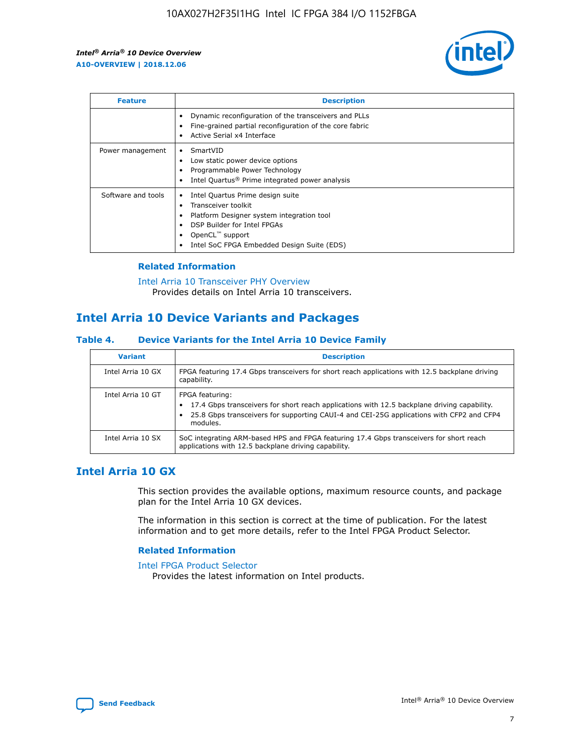

| <b>Feature</b>     | <b>Description</b>                                                                                                                                                                                               |
|--------------------|------------------------------------------------------------------------------------------------------------------------------------------------------------------------------------------------------------------|
|                    | Dynamic reconfiguration of the transceivers and PLLs<br>Fine-grained partial reconfiguration of the core fabric<br>Active Serial x4 Interface<br>$\bullet$                                                       |
| Power management   | SmartVID<br>Low static power device options<br>Programmable Power Technology<br>Intel Quartus <sup>®</sup> Prime integrated power analysis                                                                       |
| Software and tools | Intel Quartus Prime design suite<br>Transceiver toolkit<br>Platform Designer system integration tool<br>DSP Builder for Intel FPGAs<br>OpenCL <sup>™</sup> support<br>Intel SoC FPGA Embedded Design Suite (EDS) |

## **Related Information**

[Intel Arria 10 Transceiver PHY Overview](https://www.intel.com/content/www/us/en/programmable/documentation/nik1398707230472.html#nik1398706768037) Provides details on Intel Arria 10 transceivers.

# **Intel Arria 10 Device Variants and Packages**

#### **Table 4. Device Variants for the Intel Arria 10 Device Family**

| <b>Variant</b>    | <b>Description</b>                                                                                                                                                                                                     |
|-------------------|------------------------------------------------------------------------------------------------------------------------------------------------------------------------------------------------------------------------|
| Intel Arria 10 GX | FPGA featuring 17.4 Gbps transceivers for short reach applications with 12.5 backplane driving<br>capability.                                                                                                          |
| Intel Arria 10 GT | FPGA featuring:<br>17.4 Gbps transceivers for short reach applications with 12.5 backplane driving capability.<br>25.8 Gbps transceivers for supporting CAUI-4 and CEI-25G applications with CFP2 and CFP4<br>modules. |
| Intel Arria 10 SX | SoC integrating ARM-based HPS and FPGA featuring 17.4 Gbps transceivers for short reach<br>applications with 12.5 backplane driving capability.                                                                        |

# **Intel Arria 10 GX**

This section provides the available options, maximum resource counts, and package plan for the Intel Arria 10 GX devices.

The information in this section is correct at the time of publication. For the latest information and to get more details, refer to the Intel FPGA Product Selector.

#### **Related Information**

#### [Intel FPGA Product Selector](http://www.altera.com/products/selector/psg-selector.html) Provides the latest information on Intel products.

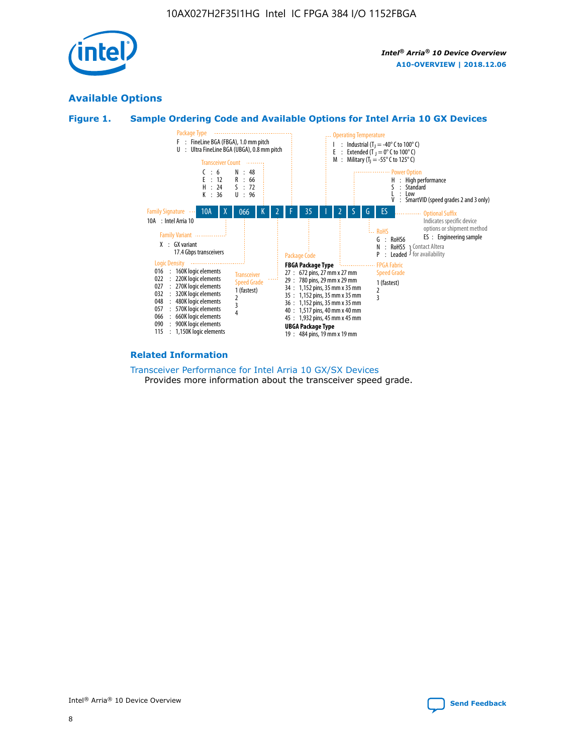

# **Available Options**





#### **Related Information**

[Transceiver Performance for Intel Arria 10 GX/SX Devices](https://www.intel.com/content/www/us/en/programmable/documentation/mcn1413182292568.html#mcn1413213965502) Provides more information about the transceiver speed grade.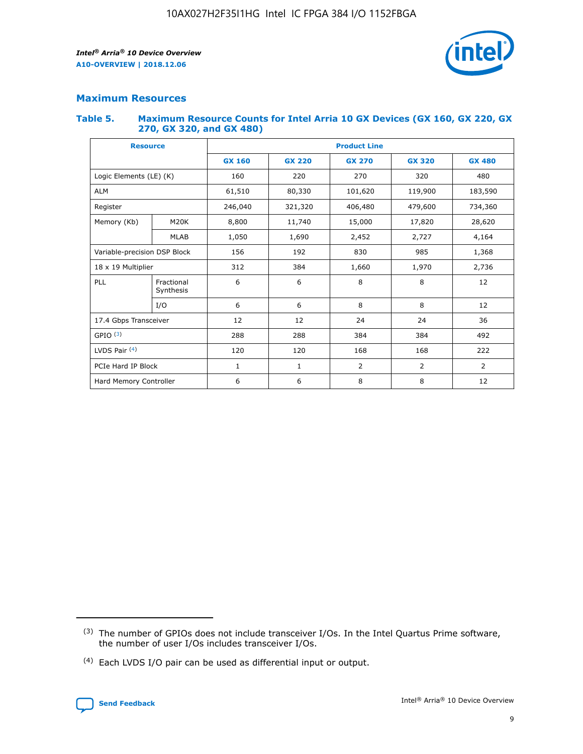

# **Maximum Resources**

#### **Table 5. Maximum Resource Counts for Intel Arria 10 GX Devices (GX 160, GX 220, GX 270, GX 320, and GX 480)**

| <b>Resource</b>              |                         | <b>Product Line</b> |                                                 |                    |                |                |  |  |  |
|------------------------------|-------------------------|---------------------|-------------------------------------------------|--------------------|----------------|----------------|--|--|--|
|                              |                         | <b>GX 160</b>       | <b>GX 220</b><br><b>GX 270</b><br><b>GX 320</b> |                    |                | <b>GX 480</b>  |  |  |  |
| Logic Elements (LE) (K)      |                         | 160                 | 220<br>320<br>270                               |                    |                | 480            |  |  |  |
| <b>ALM</b>                   |                         | 61,510              | 80,330                                          | 101,620            | 119,900        | 183,590        |  |  |  |
| Register                     |                         | 246,040             | 321,320                                         | 406,480<br>479,600 |                | 734,360        |  |  |  |
| Memory (Kb)                  | M <sub>20</sub> K       | 8,800               | 11,740<br>15,000                                |                    | 17,820         | 28,620         |  |  |  |
|                              | <b>MLAB</b>             | 1,050               | 1,690                                           | 2,452              | 2,727          | 4,164          |  |  |  |
| Variable-precision DSP Block |                         | 156                 | 192                                             | 830                | 985            | 1,368          |  |  |  |
| 18 x 19 Multiplier           |                         | 312                 | 384                                             | 1,660<br>1,970     |                | 2,736          |  |  |  |
| PLL                          | Fractional<br>Synthesis | 6                   | 6                                               | 8                  | 8              | 12             |  |  |  |
|                              | I/O                     | 6                   | 6                                               | 8                  | 8              | 12             |  |  |  |
| 17.4 Gbps Transceiver        |                         | 12                  | 12                                              | 24                 | 24             | 36             |  |  |  |
| GPIO <sup>(3)</sup>          |                         | 288                 | 288                                             | 384                | 384            |                |  |  |  |
| LVDS Pair $(4)$              |                         | 120                 | 120                                             | 168                | 168            | 222            |  |  |  |
| PCIe Hard IP Block           |                         | $\mathbf{1}$        | 1                                               | $\overline{2}$     | $\overline{2}$ | $\overline{2}$ |  |  |  |
| Hard Memory Controller       |                         | 6                   | 6                                               | 8                  | 8              | 12             |  |  |  |

<sup>(4)</sup> Each LVDS I/O pair can be used as differential input or output.



<sup>(3)</sup> The number of GPIOs does not include transceiver I/Os. In the Intel Quartus Prime software, the number of user I/Os includes transceiver I/Os.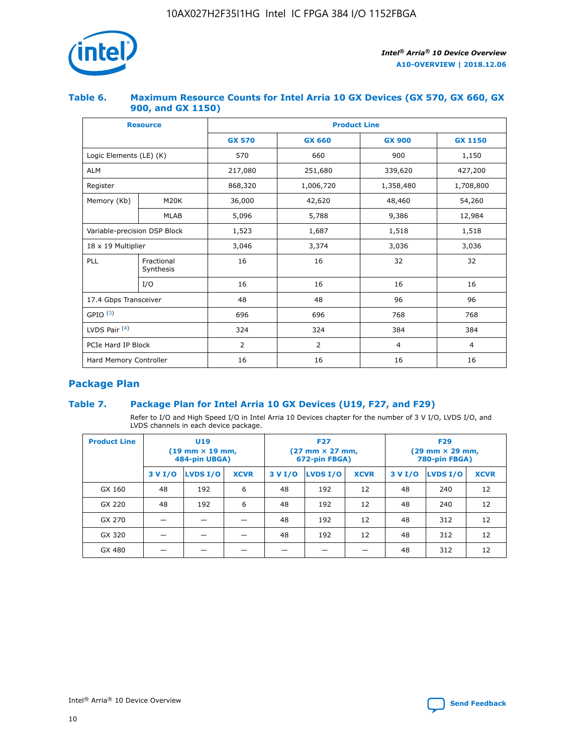

## **Table 6. Maximum Resource Counts for Intel Arria 10 GX Devices (GX 570, GX 660, GX 900, and GX 1150)**

|                              | <b>Resource</b>         | <b>Product Line</b> |                        |                |                |  |  |  |
|------------------------------|-------------------------|---------------------|------------------------|----------------|----------------|--|--|--|
|                              |                         | <b>GX 570</b>       | <b>GX 660</b>          | <b>GX 900</b>  | <b>GX 1150</b> |  |  |  |
| Logic Elements (LE) (K)      |                         | 570                 | 660                    | 900            | 1,150          |  |  |  |
| <b>ALM</b>                   |                         | 217,080             | 251,680                | 339,620        | 427,200        |  |  |  |
| Register                     |                         | 868,320             | 1,006,720<br>1,358,480 |                | 1,708,800      |  |  |  |
| Memory (Kb)                  | <b>M20K</b>             | 36,000              | 42,620                 | 48,460         | 54,260         |  |  |  |
|                              | <b>MLAB</b>             | 5,096               | 5,788                  | 9,386          | 12,984         |  |  |  |
| Variable-precision DSP Block |                         | 1,523               | 1,687                  | 1,518          | 1,518          |  |  |  |
| $18 \times 19$ Multiplier    |                         | 3,046               | 3,374                  | 3,036          | 3,036          |  |  |  |
| PLL                          | Fractional<br>Synthesis | 16                  | 16                     | 32             | 32             |  |  |  |
|                              | I/O                     | 16                  | 16                     | 16             | 16             |  |  |  |
| 17.4 Gbps Transceiver        |                         | 48                  | 48<br>96               |                | 96             |  |  |  |
| GPIO <sup>(3)</sup>          |                         | 696                 | 696                    | 768            | 768            |  |  |  |
| LVDS Pair $(4)$              |                         | 324                 | 324                    | 384            | 384            |  |  |  |
| PCIe Hard IP Block           |                         | 2                   | $\overline{2}$         | $\overline{4}$ | 4              |  |  |  |
| Hard Memory Controller       |                         | 16                  | 16                     | 16             | 16             |  |  |  |

# **Package Plan**

# **Table 7. Package Plan for Intel Arria 10 GX Devices (U19, F27, and F29)**

Refer to I/O and High Speed I/O in Intel Arria 10 Devices chapter for the number of 3 V I/O, LVDS I/O, and LVDS channels in each device package.

| <b>Product Line</b> | U <sub>19</sub><br>$(19 \text{ mm} \times 19 \text{ mm})$<br>484-pin UBGA) |          |             |         | <b>F27</b><br>(27 mm × 27 mm,<br>672-pin FBGA) |             | <b>F29</b><br>(29 mm × 29 mm,<br>780-pin FBGA) |          |             |  |
|---------------------|----------------------------------------------------------------------------|----------|-------------|---------|------------------------------------------------|-------------|------------------------------------------------|----------|-------------|--|
|                     | 3 V I/O                                                                    | LVDS I/O | <b>XCVR</b> | 3 V I/O | <b>LVDS I/O</b>                                | <b>XCVR</b> | 3 V I/O                                        | LVDS I/O | <b>XCVR</b> |  |
| GX 160              | 48                                                                         | 192      | 6           | 48      | 192                                            | 12          | 48                                             | 240      | 12          |  |
| GX 220              | 48                                                                         | 192      | 6           | 48      | 192                                            | 12          | 48                                             | 240      | 12          |  |
| GX 270              |                                                                            |          |             | 48      | 192                                            | 12          | 48                                             | 312      | 12          |  |
| GX 320              |                                                                            |          |             | 48      | 192                                            | 12          | 48                                             | 312      | 12          |  |
| GX 480              |                                                                            |          |             |         |                                                |             | 48                                             | 312      | 12          |  |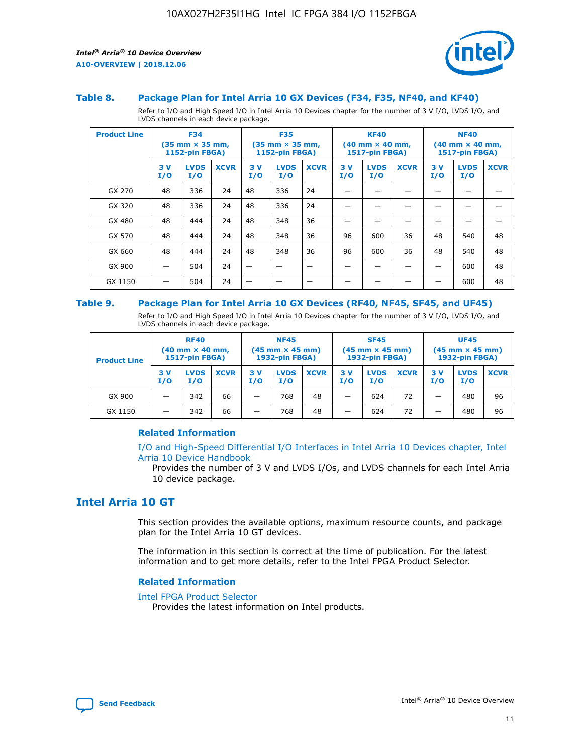



#### **Table 8. Package Plan for Intel Arria 10 GX Devices (F34, F35, NF40, and KF40)**

Refer to I/O and High Speed I/O in Intel Arria 10 Devices chapter for the number of 3 V I/O, LVDS I/O, and LVDS channels in each device package.

| <b>Product Line</b> | <b>F34</b><br>$(35 \text{ mm} \times 35 \text{ mm})$<br><b>1152-pin FBGA)</b> |                    | <b>F35</b><br>$(35 \text{ mm} \times 35 \text{ mm})$<br><b>1152-pin FBGA)</b> |           | <b>KF40</b><br>$(40$ mm $\times$ 40 mm,<br><b>1517-pin FBGA)</b> |             |           | <b>NF40</b><br>$(40 \text{ mm} \times 40 \text{ mm})$<br>1517-pin FBGA) |             |           |                    |             |
|---------------------|-------------------------------------------------------------------------------|--------------------|-------------------------------------------------------------------------------|-----------|------------------------------------------------------------------|-------------|-----------|-------------------------------------------------------------------------|-------------|-----------|--------------------|-------------|
|                     | 3V<br>I/O                                                                     | <b>LVDS</b><br>I/O | <b>XCVR</b>                                                                   | 3V<br>I/O | <b>LVDS</b><br>I/O                                               | <b>XCVR</b> | 3V<br>I/O | <b>LVDS</b><br>I/O                                                      | <b>XCVR</b> | 3V<br>I/O | <b>LVDS</b><br>I/O | <b>XCVR</b> |
| GX 270              | 48                                                                            | 336                | 24                                                                            | 48        | 336                                                              | 24          |           |                                                                         |             |           |                    |             |
| GX 320              | 48                                                                            | 336                | 24                                                                            | 48        | 336                                                              | 24          |           |                                                                         |             |           |                    |             |
| GX 480              | 48                                                                            | 444                | 24                                                                            | 48        | 348                                                              | 36          |           |                                                                         |             |           |                    |             |
| GX 570              | 48                                                                            | 444                | 24                                                                            | 48        | 348                                                              | 36          | 96        | 600                                                                     | 36          | 48        | 540                | 48          |
| GX 660              | 48                                                                            | 444                | 24                                                                            | 48        | 348                                                              | 36          | 96        | 600                                                                     | 36          | 48        | 540                | 48          |
| GX 900              |                                                                               | 504                | 24                                                                            | –         |                                                                  | -           |           |                                                                         |             |           | 600                | 48          |
| GX 1150             |                                                                               | 504                | 24                                                                            |           |                                                                  |             |           |                                                                         |             |           | 600                | 48          |

#### **Table 9. Package Plan for Intel Arria 10 GX Devices (RF40, NF45, SF45, and UF45)**

Refer to I/O and High Speed I/O in Intel Arria 10 Devices chapter for the number of 3 V I/O, LVDS I/O, and LVDS channels in each device package.

| <b>Product Line</b> | <b>RF40</b><br>$(40$ mm $\times$ 40 mm,<br>1517-pin FBGA) |                    | <b>NF45</b><br>$(45 \text{ mm} \times 45 \text{ mm})$<br><b>1932-pin FBGA)</b> |            |                    | <b>SF45</b><br>$(45 \text{ mm} \times 45 \text{ mm})$<br><b>1932-pin FBGA)</b> |            |                    | <b>UF45</b><br>$(45 \text{ mm} \times 45 \text{ mm})$<br><b>1932-pin FBGA)</b> |           |                    |             |
|---------------------|-----------------------------------------------------------|--------------------|--------------------------------------------------------------------------------|------------|--------------------|--------------------------------------------------------------------------------|------------|--------------------|--------------------------------------------------------------------------------|-----------|--------------------|-------------|
|                     | 3V<br>I/O                                                 | <b>LVDS</b><br>I/O | <b>XCVR</b>                                                                    | 3 V<br>I/O | <b>LVDS</b><br>I/O | <b>XCVR</b>                                                                    | 3 V<br>I/O | <b>LVDS</b><br>I/O | <b>XCVR</b>                                                                    | 3V<br>I/O | <b>LVDS</b><br>I/O | <b>XCVR</b> |
| GX 900              |                                                           | 342                | 66                                                                             | _          | 768                | 48                                                                             |            | 624                | 72                                                                             |           | 480                | 96          |
| GX 1150             |                                                           | 342                | 66                                                                             | _          | 768                | 48                                                                             |            | 624                | 72                                                                             |           | 480                | 96          |

## **Related Information**

[I/O and High-Speed Differential I/O Interfaces in Intel Arria 10 Devices chapter, Intel](https://www.intel.com/content/www/us/en/programmable/documentation/sam1403482614086.html#sam1403482030321) [Arria 10 Device Handbook](https://www.intel.com/content/www/us/en/programmable/documentation/sam1403482614086.html#sam1403482030321)

Provides the number of 3 V and LVDS I/Os, and LVDS channels for each Intel Arria 10 device package.

# **Intel Arria 10 GT**

This section provides the available options, maximum resource counts, and package plan for the Intel Arria 10 GT devices.

The information in this section is correct at the time of publication. For the latest information and to get more details, refer to the Intel FPGA Product Selector.

#### **Related Information**

#### [Intel FPGA Product Selector](http://www.altera.com/products/selector/psg-selector.html)

Provides the latest information on Intel products.

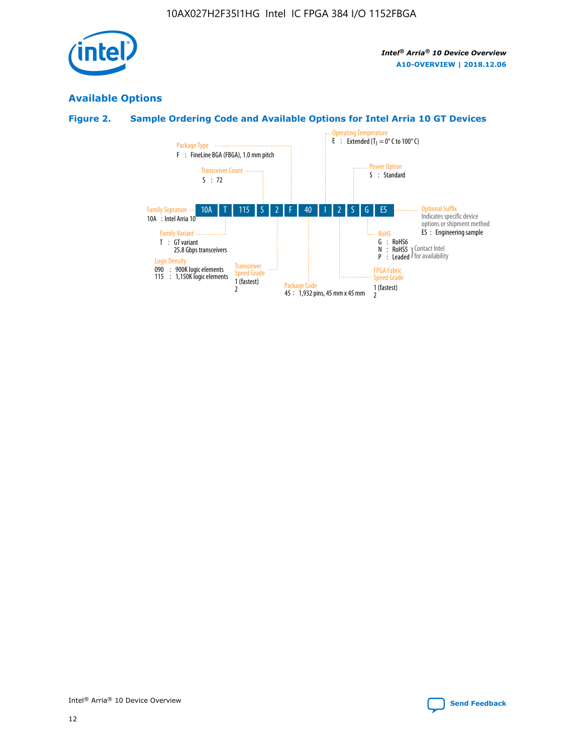

# **Available Options**

# **Figure 2. Sample Ordering Code and Available Options for Intel Arria 10 GT Devices**

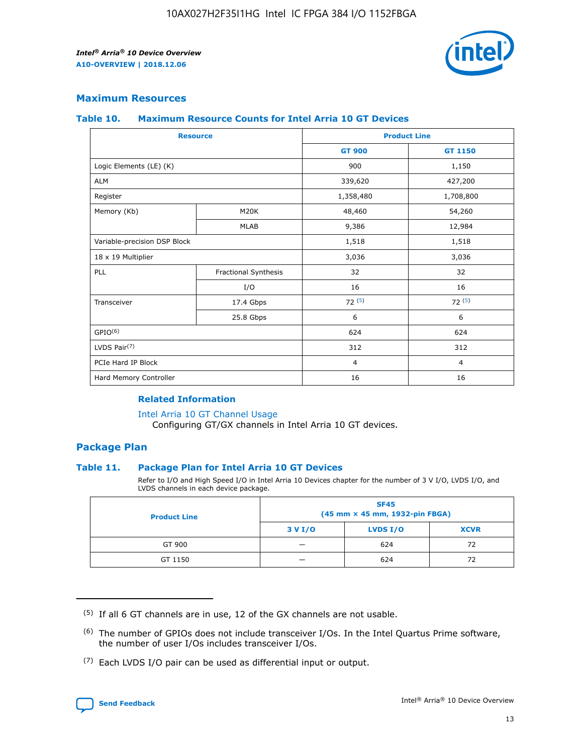

## **Maximum Resources**

#### **Table 10. Maximum Resource Counts for Intel Arria 10 GT Devices**

| <b>Resource</b>              |                      |                | <b>Product Line</b> |  |
|------------------------------|----------------------|----------------|---------------------|--|
|                              |                      | <b>GT 900</b>  | <b>GT 1150</b>      |  |
| Logic Elements (LE) (K)      |                      | 900            | 1,150               |  |
| <b>ALM</b>                   |                      | 339,620        | 427,200             |  |
| Register                     |                      | 1,358,480      | 1,708,800           |  |
| Memory (Kb)                  | M <sub>20</sub> K    | 48,460         | 54,260              |  |
|                              | <b>MLAB</b>          | 9,386          | 12,984              |  |
| Variable-precision DSP Block |                      | 1,518          | 1,518               |  |
| 18 x 19 Multiplier           |                      | 3,036          | 3,036               |  |
| PLL                          | Fractional Synthesis | 32             | 32                  |  |
|                              | I/O                  | 16             | 16                  |  |
| Transceiver                  | 17.4 Gbps            | 72(5)          | 72(5)               |  |
|                              | 25.8 Gbps            | 6              | 6                   |  |
| GPIO <sup>(6)</sup>          |                      | 624            | 624                 |  |
| LVDS Pair $(7)$              |                      | 312            | 312                 |  |
| PCIe Hard IP Block           |                      | $\overline{4}$ | $\overline{4}$      |  |
| Hard Memory Controller       |                      | 16             | 16                  |  |

## **Related Information**

#### [Intel Arria 10 GT Channel Usage](https://www.intel.com/content/www/us/en/programmable/documentation/nik1398707230472.html#nik1398707008178)

Configuring GT/GX channels in Intel Arria 10 GT devices.

## **Package Plan**

### **Table 11. Package Plan for Intel Arria 10 GT Devices**

Refer to I/O and High Speed I/O in Intel Arria 10 Devices chapter for the number of 3 V I/O, LVDS I/O, and LVDS channels in each device package.

| <b>Product Line</b> | <b>SF45</b><br>(45 mm × 45 mm, 1932-pin FBGA) |                 |             |  |  |  |
|---------------------|-----------------------------------------------|-----------------|-------------|--|--|--|
|                     | 3 V I/O                                       | <b>LVDS I/O</b> | <b>XCVR</b> |  |  |  |
| GT 900              |                                               | 624             | 72          |  |  |  |
| GT 1150             |                                               | 624             | 72          |  |  |  |

<sup>(7)</sup> Each LVDS I/O pair can be used as differential input or output.



 $(5)$  If all 6 GT channels are in use, 12 of the GX channels are not usable.

<sup>(6)</sup> The number of GPIOs does not include transceiver I/Os. In the Intel Quartus Prime software, the number of user I/Os includes transceiver I/Os.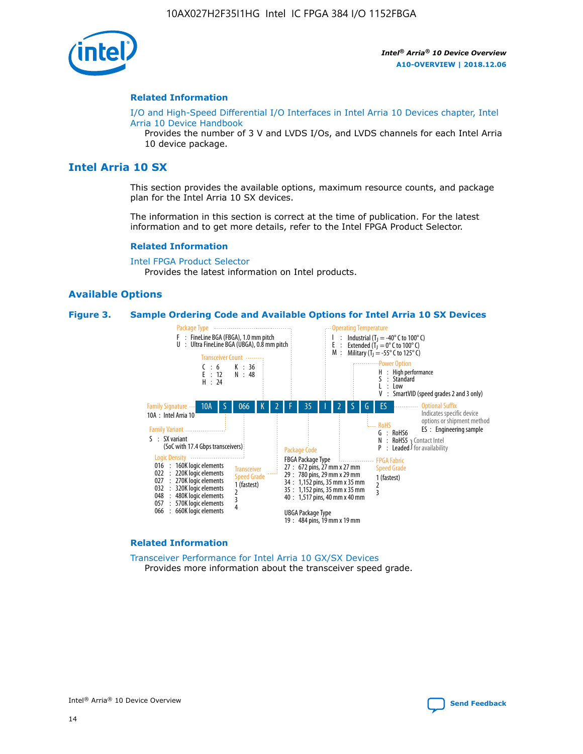

#### **Related Information**

[I/O and High-Speed Differential I/O Interfaces in Intel Arria 10 Devices chapter, Intel](https://www.intel.com/content/www/us/en/programmable/documentation/sam1403482614086.html#sam1403482030321) [Arria 10 Device Handbook](https://www.intel.com/content/www/us/en/programmable/documentation/sam1403482614086.html#sam1403482030321)

Provides the number of 3 V and LVDS I/Os, and LVDS channels for each Intel Arria 10 device package.

# **Intel Arria 10 SX**

This section provides the available options, maximum resource counts, and package plan for the Intel Arria 10 SX devices.

The information in this section is correct at the time of publication. For the latest information and to get more details, refer to the Intel FPGA Product Selector.

#### **Related Information**

[Intel FPGA Product Selector](http://www.altera.com/products/selector/psg-selector.html) Provides the latest information on Intel products.

### **Available Options**

#### **Figure 3. Sample Ordering Code and Available Options for Intel Arria 10 SX Devices**



#### **Related Information**

[Transceiver Performance for Intel Arria 10 GX/SX Devices](https://www.intel.com/content/www/us/en/programmable/documentation/mcn1413182292568.html#mcn1413213965502) Provides more information about the transceiver speed grade.

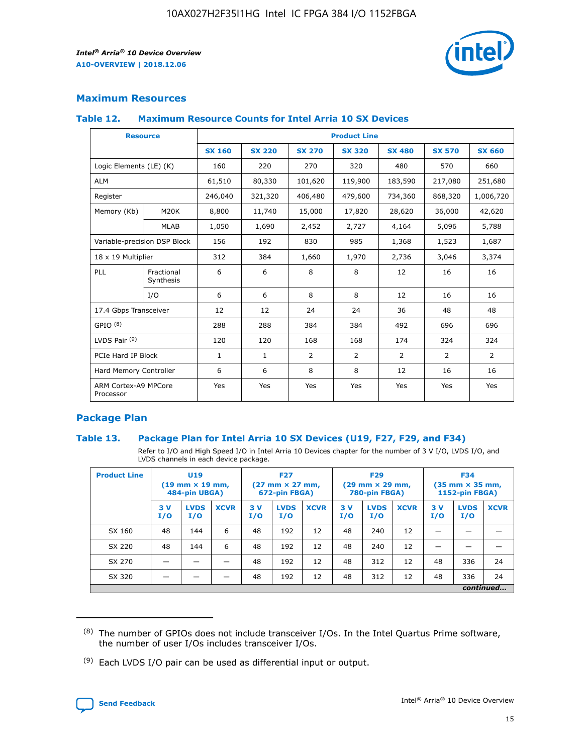

# **Maximum Resources**

### **Table 12. Maximum Resource Counts for Intel Arria 10 SX Devices**

| <b>Resource</b>                   |                         | <b>Product Line</b> |               |                |                |               |                |               |  |  |  |
|-----------------------------------|-------------------------|---------------------|---------------|----------------|----------------|---------------|----------------|---------------|--|--|--|
|                                   |                         | <b>SX 160</b>       | <b>SX 220</b> | <b>SX 270</b>  | <b>SX 320</b>  | <b>SX 480</b> | <b>SX 570</b>  | <b>SX 660</b> |  |  |  |
| Logic Elements (LE) (K)           |                         | 160                 | 220           | 270            | 320            | 480           | 570            | 660           |  |  |  |
| <b>ALM</b>                        |                         | 61,510              | 80,330        | 101,620        | 119,900        | 183,590       | 217,080        | 251,680       |  |  |  |
| Register                          |                         | 246,040             | 321,320       | 406,480        | 479,600        | 734,360       | 868,320        | 1,006,720     |  |  |  |
| Memory (Kb)                       | M <sub>20</sub> K       | 8,800               | 11,740        | 15,000         | 17,820         | 28,620        | 36,000         | 42,620        |  |  |  |
|                                   | <b>MLAB</b>             | 1,050               | 1,690         | 2,452          | 2,727          | 4,164         | 5,096          | 5,788         |  |  |  |
| Variable-precision DSP Block      |                         | 156                 | 192           | 830            | 985            | 1,368         | 1,523          | 1,687         |  |  |  |
| 18 x 19 Multiplier                |                         | 312                 | 384           | 1,660          | 1,970          | 2,736         | 3,046          | 3,374         |  |  |  |
| PLL                               | Fractional<br>Synthesis | 6                   | 6             | 8              | 8              | 12            | 16             | 16            |  |  |  |
|                                   | I/O                     | 6                   | 6             | 8              | 8              | 12            | 16             | 16            |  |  |  |
| 17.4 Gbps Transceiver             |                         | 12                  | 12            | 24             | 24             | 36            | 48             | 48            |  |  |  |
| GPIO <sup>(8)</sup>               |                         | 288                 | 288           | 384            | 384            | 492           | 696            | 696           |  |  |  |
| LVDS Pair $(9)$                   |                         | 120                 | 120           | 168            | 168            | 174           | 324            | 324           |  |  |  |
| PCIe Hard IP Block                |                         | $\mathbf{1}$        | 1             | $\overline{2}$ | $\overline{2}$ | 2             | $\overline{2}$ | 2             |  |  |  |
| Hard Memory Controller            |                         | 6                   | 6             | 8              | 8              | 12            | 16             | 16            |  |  |  |
| ARM Cortex-A9 MPCore<br>Processor |                         | Yes                 | Yes           | Yes            | Yes            | Yes           | Yes            | Yes           |  |  |  |

# **Package Plan**

### **Table 13. Package Plan for Intel Arria 10 SX Devices (U19, F27, F29, and F34)**

Refer to I/O and High Speed I/O in Intel Arria 10 Devices chapter for the number of 3 V I/O, LVDS I/O, and LVDS channels in each device package.

| <b>Product Line</b> | U19<br>$(19 \text{ mm} \times 19 \text{ mm})$<br>484-pin UBGA) |                    | <b>F27</b><br>$(27 \text{ mm} \times 27 \text{ mm})$<br>672-pin FBGA) |           | <b>F29</b><br>$(29 \text{ mm} \times 29 \text{ mm})$<br>780-pin FBGA) |             |            | <b>F34</b><br>$(35 \text{ mm} \times 35 \text{ mm})$<br><b>1152-pin FBGA)</b> |             |           |                    |             |
|---------------------|----------------------------------------------------------------|--------------------|-----------------------------------------------------------------------|-----------|-----------------------------------------------------------------------|-------------|------------|-------------------------------------------------------------------------------|-------------|-----------|--------------------|-------------|
|                     | 3V<br>I/O                                                      | <b>LVDS</b><br>I/O | <b>XCVR</b>                                                           | 3V<br>I/O | <b>LVDS</b><br>I/O                                                    | <b>XCVR</b> | 3 V<br>I/O | <b>LVDS</b><br>I/O                                                            | <b>XCVR</b> | 3V<br>I/O | <b>LVDS</b><br>I/O | <b>XCVR</b> |
| SX 160              | 48                                                             | 144                | 6                                                                     | 48        | 192                                                                   | 12          | 48         | 240                                                                           | 12          | –         |                    |             |
| SX 220              | 48                                                             | 144                | 6                                                                     | 48        | 192                                                                   | 12          | 48         | 240                                                                           | 12          |           |                    |             |
| SX 270              |                                                                |                    |                                                                       | 48        | 192                                                                   | 12          | 48         | 312                                                                           | 12          | 48        | 336                | 24          |
| SX 320              |                                                                |                    |                                                                       | 48        | 192                                                                   | 12          | 48         | 312                                                                           | 12          | 48        | 336                | 24          |
|                     | continued                                                      |                    |                                                                       |           |                                                                       |             |            |                                                                               |             |           |                    |             |

 $(8)$  The number of GPIOs does not include transceiver I/Os. In the Intel Quartus Prime software, the number of user I/Os includes transceiver I/Os.

 $(9)$  Each LVDS I/O pair can be used as differential input or output.

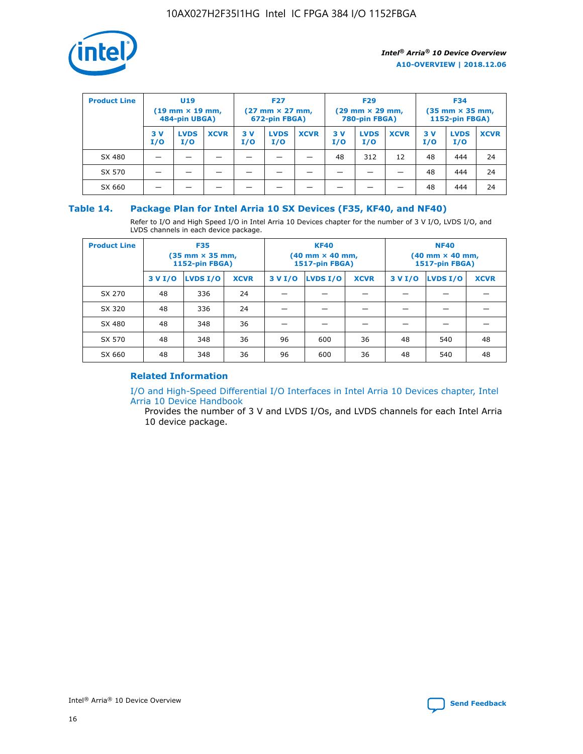

| <b>Product Line</b> | U <sub>19</sub><br>$(19$ mm $\times$ 19 mm,<br>484-pin UBGA) |                    | <b>F27</b><br>$(27 \text{ mm} \times 27 \text{ mm})$<br>672-pin FBGA) |           | <b>F29</b><br>$(29 \text{ mm} \times 29 \text{ mm})$<br>780-pin FBGA) |             |           | <b>F34</b><br>$(35$ mm $\times$ 35 mm,<br><b>1152-pin FBGA)</b> |             |           |                    |             |
|---------------------|--------------------------------------------------------------|--------------------|-----------------------------------------------------------------------|-----------|-----------------------------------------------------------------------|-------------|-----------|-----------------------------------------------------------------|-------------|-----------|--------------------|-------------|
|                     | 3 V<br>I/O                                                   | <b>LVDS</b><br>I/O | <b>XCVR</b>                                                           | 3V<br>I/O | <b>LVDS</b><br>I/O                                                    | <b>XCVR</b> | 3V<br>I/O | <b>LVDS</b><br>I/O                                              | <b>XCVR</b> | 3V<br>I/O | <b>LVDS</b><br>I/O | <b>XCVR</b> |
| SX 480              |                                                              |                    |                                                                       |           |                                                                       |             | 48        | 312                                                             | 12          | 48        | 444                | 24          |
| SX 570              |                                                              |                    |                                                                       |           |                                                                       |             |           |                                                                 |             | 48        | 444                | 24          |
| SX 660              |                                                              |                    |                                                                       |           |                                                                       |             |           |                                                                 |             | 48        | 444                | 24          |

## **Table 14. Package Plan for Intel Arria 10 SX Devices (F35, KF40, and NF40)**

Refer to I/O and High Speed I/O in Intel Arria 10 Devices chapter for the number of 3 V I/O, LVDS I/O, and LVDS channels in each device package.

| <b>Product Line</b> | <b>F35</b><br>(35 mm × 35 mm,<br><b>1152-pin FBGA)</b> |          |             |                                           | <b>KF40</b><br>(40 mm × 40 mm,<br>1517-pin FBGA) |    | <b>NF40</b><br>$(40 \text{ mm} \times 40 \text{ mm})$<br><b>1517-pin FBGA)</b> |          |             |  |
|---------------------|--------------------------------------------------------|----------|-------------|-------------------------------------------|--------------------------------------------------|----|--------------------------------------------------------------------------------|----------|-------------|--|
|                     | 3 V I/O                                                | LVDS I/O | <b>XCVR</b> | <b>LVDS I/O</b><br><b>XCVR</b><br>3 V I/O |                                                  |    | 3 V I/O                                                                        | LVDS I/O | <b>XCVR</b> |  |
| SX 270              | 48                                                     | 336      | 24          |                                           |                                                  |    |                                                                                |          |             |  |
| SX 320              | 48                                                     | 336      | 24          |                                           |                                                  |    |                                                                                |          |             |  |
| SX 480              | 48                                                     | 348      | 36          |                                           |                                                  |    |                                                                                |          |             |  |
| SX 570              | 48                                                     | 348      | 36          | 96                                        | 600                                              | 36 | 48                                                                             | 540      | 48          |  |
| SX 660              | 48                                                     | 348      | 36          | 96                                        | 600                                              | 36 | 48                                                                             | 540      | 48          |  |

# **Related Information**

[I/O and High-Speed Differential I/O Interfaces in Intel Arria 10 Devices chapter, Intel](https://www.intel.com/content/www/us/en/programmable/documentation/sam1403482614086.html#sam1403482030321) [Arria 10 Device Handbook](https://www.intel.com/content/www/us/en/programmable/documentation/sam1403482614086.html#sam1403482030321)

Provides the number of 3 V and LVDS I/Os, and LVDS channels for each Intel Arria 10 device package.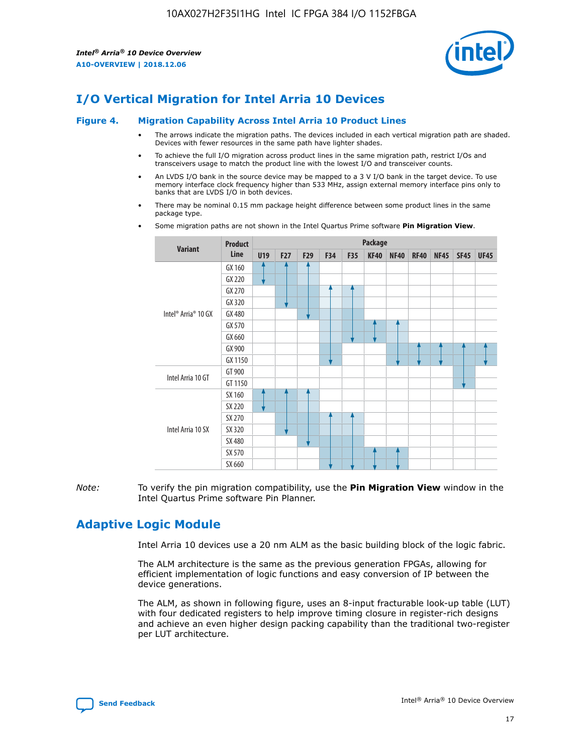

# **I/O Vertical Migration for Intel Arria 10 Devices**

#### **Figure 4. Migration Capability Across Intel Arria 10 Product Lines**

- The arrows indicate the migration paths. The devices included in each vertical migration path are shaded. Devices with fewer resources in the same path have lighter shades.
- To achieve the full I/O migration across product lines in the same migration path, restrict I/Os and transceivers usage to match the product line with the lowest I/O and transceiver counts.
- An LVDS I/O bank in the source device may be mapped to a 3 V I/O bank in the target device. To use memory interface clock frequency higher than 533 MHz, assign external memory interface pins only to banks that are LVDS I/O in both devices.
- There may be nominal 0.15 mm package height difference between some product lines in the same package type.
	- **Variant Product Line Package U19 F27 F29 F34 F35 KF40 NF40 RF40 NF45 SF45 UF45** Intel® Arria® 10 GX GX 160 GX 220 GX 270 GX 320 GX 480 GX 570 GX 660 GX 900 GX 1150 Intel Arria 10 GT GT 900 GT 1150 Intel Arria 10 SX SX 160 SX 220 SX 270 SX 320 SX 480 SX 570 SX 660
- Some migration paths are not shown in the Intel Quartus Prime software **Pin Migration View**.

*Note:* To verify the pin migration compatibility, use the **Pin Migration View** window in the Intel Quartus Prime software Pin Planner.

# **Adaptive Logic Module**

Intel Arria 10 devices use a 20 nm ALM as the basic building block of the logic fabric.

The ALM architecture is the same as the previous generation FPGAs, allowing for efficient implementation of logic functions and easy conversion of IP between the device generations.

The ALM, as shown in following figure, uses an 8-input fracturable look-up table (LUT) with four dedicated registers to help improve timing closure in register-rich designs and achieve an even higher design packing capability than the traditional two-register per LUT architecture.

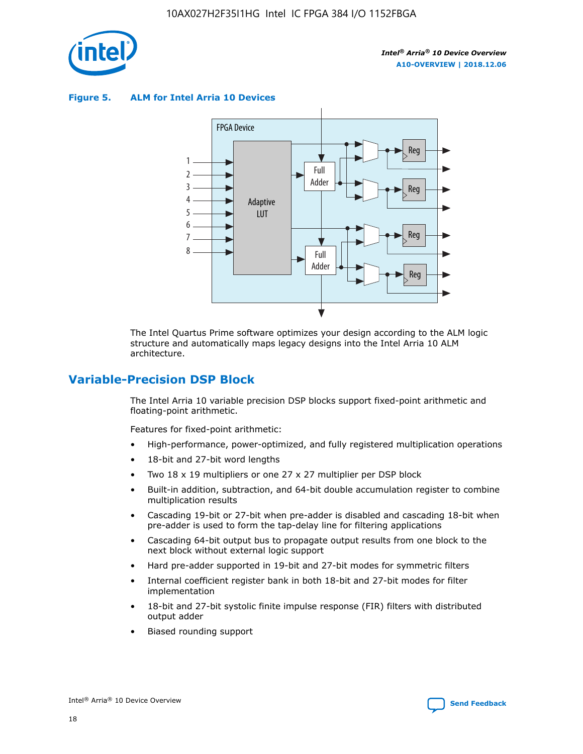

**Figure 5. ALM for Intel Arria 10 Devices**



The Intel Quartus Prime software optimizes your design according to the ALM logic structure and automatically maps legacy designs into the Intel Arria 10 ALM architecture.

# **Variable-Precision DSP Block**

The Intel Arria 10 variable precision DSP blocks support fixed-point arithmetic and floating-point arithmetic.

Features for fixed-point arithmetic:

- High-performance, power-optimized, and fully registered multiplication operations
- 18-bit and 27-bit word lengths
- Two 18 x 19 multipliers or one 27 x 27 multiplier per DSP block
- Built-in addition, subtraction, and 64-bit double accumulation register to combine multiplication results
- Cascading 19-bit or 27-bit when pre-adder is disabled and cascading 18-bit when pre-adder is used to form the tap-delay line for filtering applications
- Cascading 64-bit output bus to propagate output results from one block to the next block without external logic support
- Hard pre-adder supported in 19-bit and 27-bit modes for symmetric filters
- Internal coefficient register bank in both 18-bit and 27-bit modes for filter implementation
- 18-bit and 27-bit systolic finite impulse response (FIR) filters with distributed output adder
- Biased rounding support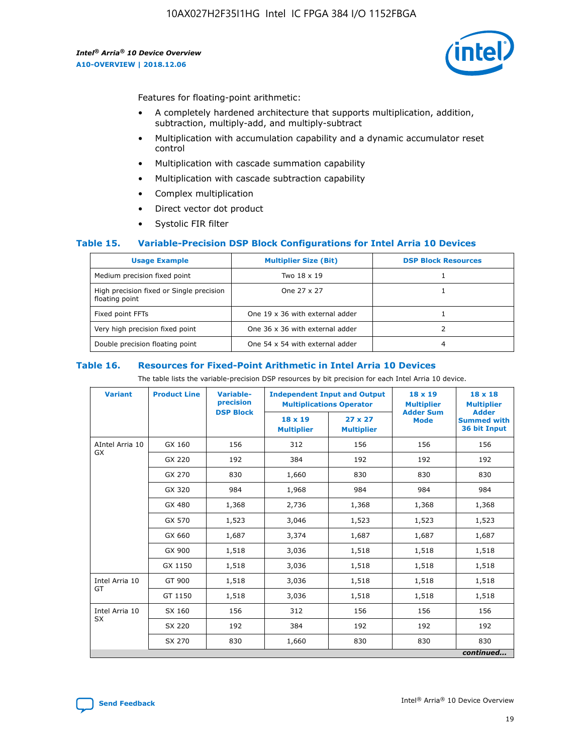

Features for floating-point arithmetic:

- A completely hardened architecture that supports multiplication, addition, subtraction, multiply-add, and multiply-subtract
- Multiplication with accumulation capability and a dynamic accumulator reset control
- Multiplication with cascade summation capability
- Multiplication with cascade subtraction capability
- Complex multiplication
- Direct vector dot product
- Systolic FIR filter

### **Table 15. Variable-Precision DSP Block Configurations for Intel Arria 10 Devices**

| <b>Usage Example</b>                                       | <b>Multiplier Size (Bit)</b>    | <b>DSP Block Resources</b> |
|------------------------------------------------------------|---------------------------------|----------------------------|
| Medium precision fixed point                               | Two 18 x 19                     |                            |
| High precision fixed or Single precision<br>floating point | One 27 x 27                     |                            |
| Fixed point FFTs                                           | One 19 x 36 with external adder |                            |
| Very high precision fixed point                            | One 36 x 36 with external adder |                            |
| Double precision floating point                            | One 54 x 54 with external adder | 4                          |

#### **Table 16. Resources for Fixed-Point Arithmetic in Intel Arria 10 Devices**

The table lists the variable-precision DSP resources by bit precision for each Intel Arria 10 device.

| <b>Variant</b>  | <b>Product Line</b> | <b>Variable-</b><br>precision<br><b>DSP Block</b> | <b>Independent Input and Output</b><br><b>Multiplications Operator</b> |                                     | 18 x 19<br><b>Multiplier</b><br><b>Adder Sum</b> | $18 \times 18$<br><b>Multiplier</b><br><b>Adder</b> |
|-----------------|---------------------|---------------------------------------------------|------------------------------------------------------------------------|-------------------------------------|--------------------------------------------------|-----------------------------------------------------|
|                 |                     |                                                   | 18 x 19<br><b>Multiplier</b>                                           | $27 \times 27$<br><b>Multiplier</b> | <b>Mode</b>                                      | <b>Summed with</b><br>36 bit Input                  |
| AIntel Arria 10 | GX 160              | 156                                               | 312                                                                    | 156                                 | 156                                              | 156                                                 |
| GX              | GX 220              | 192                                               | 384                                                                    | 192                                 | 192                                              | 192                                                 |
|                 | GX 270              | 830                                               | 1,660                                                                  | 830                                 | 830                                              | 830                                                 |
|                 | GX 320              | 984                                               | 1,968                                                                  | 984                                 | 984                                              | 984                                                 |
|                 | GX 480              | 1,368                                             | 2,736                                                                  | 1,368                               | 1,368                                            | 1,368                                               |
|                 | GX 570              | 1,523                                             | 3,046                                                                  | 1,523                               | 1,523                                            | 1,523                                               |
|                 | GX 660              | 1,687                                             | 3,374                                                                  | 1,687                               | 1,687                                            | 1,687                                               |
|                 | GX 900              | 1,518                                             | 3,036                                                                  | 1,518                               | 1,518                                            | 1,518                                               |
|                 | GX 1150             | 1,518                                             | 3,036                                                                  | 1,518                               | 1,518                                            | 1,518                                               |
| Intel Arria 10  | GT 900              | 1,518                                             | 3,036                                                                  | 1,518                               | 1,518                                            | 1,518                                               |
| GT              | GT 1150             | 1,518                                             | 3,036                                                                  | 1,518                               | 1,518                                            | 1,518                                               |
| Intel Arria 10  | SX 160              | 156                                               | 312                                                                    | 156                                 | 156                                              | 156                                                 |
| <b>SX</b>       | SX 220              | 192                                               | 384                                                                    | 192                                 | 192                                              | 192                                                 |
|                 | SX 270              | 830                                               | 1,660                                                                  | 830                                 | 830                                              | 830                                                 |
|                 |                     |                                                   |                                                                        |                                     |                                                  | continued                                           |

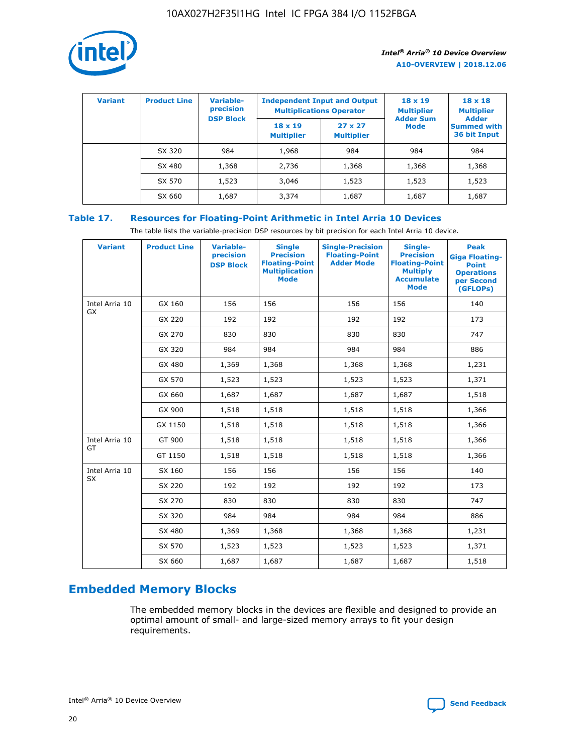

| <b>Variant</b> | <b>Product Line</b> | <b>Variable-</b><br>precision | <b>Multiplications Operator</b>     | <b>Independent Input and Output</b> | $18 \times 19$<br><b>Multiplier</b> | $18 \times 18$<br><b>Multiplier</b><br><b>Adder</b> |  |
|----------------|---------------------|-------------------------------|-------------------------------------|-------------------------------------|-------------------------------------|-----------------------------------------------------|--|
|                |                     | <b>DSP Block</b>              | $18 \times 19$<br><b>Multiplier</b> | $27 \times 27$<br><b>Multiplier</b> | <b>Adder Sum</b><br>Mode            | <b>Summed with</b><br>36 bit Input                  |  |
|                | SX 320              | 984                           | 1,968                               | 984                                 | 984                                 | 984                                                 |  |
|                | SX 480              | 1,368                         | 2,736                               | 1,368                               | 1,368                               | 1,368                                               |  |
|                | SX 570              | 1,523                         | 3,046                               | 1,523                               | 1,523                               | 1,523                                               |  |
|                | SX 660              | 1,687                         | 3,374                               | 1,687                               | 1,687                               | 1,687                                               |  |

# **Table 17. Resources for Floating-Point Arithmetic in Intel Arria 10 Devices**

The table lists the variable-precision DSP resources by bit precision for each Intel Arria 10 device.

| <b>Variant</b> | <b>Product Line</b> | <b>Variable-</b><br>precision<br><b>DSP Block</b> | <b>Single</b><br><b>Precision</b><br><b>Floating-Point</b><br><b>Multiplication</b><br><b>Mode</b> | <b>Single-Precision</b><br><b>Floating-Point</b><br><b>Adder Mode</b> | Single-<br><b>Precision</b><br><b>Floating-Point</b><br><b>Multiply</b><br><b>Accumulate</b><br><b>Mode</b> | <b>Peak</b><br><b>Giga Floating-</b><br><b>Point</b><br><b>Operations</b><br>per Second<br>(GFLOPs) |
|----------------|---------------------|---------------------------------------------------|----------------------------------------------------------------------------------------------------|-----------------------------------------------------------------------|-------------------------------------------------------------------------------------------------------------|-----------------------------------------------------------------------------------------------------|
| Intel Arria 10 | GX 160              | 156                                               | 156                                                                                                | 156                                                                   | 156                                                                                                         | 140                                                                                                 |
| GX             | GX 220              | 192                                               | 192                                                                                                | 192                                                                   | 192                                                                                                         | 173                                                                                                 |
|                | GX 270              | 830                                               | 830                                                                                                | 830                                                                   | 830                                                                                                         | 747                                                                                                 |
|                | GX 320              | 984                                               | 984                                                                                                | 984                                                                   | 984                                                                                                         | 886                                                                                                 |
|                | GX 480              | 1,369                                             | 1,368                                                                                              | 1,368                                                                 | 1,368                                                                                                       | 1,231                                                                                               |
|                | GX 570              | 1,523                                             | 1,523                                                                                              | 1,523                                                                 | 1,523                                                                                                       | 1,371                                                                                               |
|                | GX 660              | 1,687                                             | 1,687                                                                                              | 1,687                                                                 | 1,687                                                                                                       | 1,518                                                                                               |
|                | GX 900              | 1,518                                             | 1,518                                                                                              | 1,518                                                                 | 1,518                                                                                                       | 1,366                                                                                               |
|                | GX 1150             | 1,518                                             | 1,518                                                                                              | 1,518                                                                 | 1,518                                                                                                       | 1,366                                                                                               |
| Intel Arria 10 | GT 900              | 1,518                                             | 1,518                                                                                              | 1,518                                                                 | 1,518                                                                                                       | 1,366                                                                                               |
| GT             | GT 1150             | 1,518                                             | 1,518                                                                                              | 1,518                                                                 | 1,518                                                                                                       | 1,366                                                                                               |
| Intel Arria 10 | SX 160              | 156                                               | 156                                                                                                | 156                                                                   | 156                                                                                                         | 140                                                                                                 |
| <b>SX</b>      | SX 220              | 192                                               | 192                                                                                                | 192                                                                   | 192                                                                                                         | 173                                                                                                 |
|                | SX 270              | 830                                               | 830                                                                                                | 830                                                                   | 830                                                                                                         | 747                                                                                                 |
|                | SX 320              | 984                                               | 984                                                                                                | 984                                                                   | 984                                                                                                         | 886                                                                                                 |
|                | SX 480              | 1,369                                             | 1,368                                                                                              | 1,368                                                                 | 1,368                                                                                                       | 1,231                                                                                               |
|                | SX 570              | 1,523                                             | 1,523                                                                                              | 1,523                                                                 | 1,523                                                                                                       | 1,371                                                                                               |
|                | SX 660              | 1,687                                             | 1,687                                                                                              | 1,687                                                                 | 1,687                                                                                                       | 1,518                                                                                               |

# **Embedded Memory Blocks**

The embedded memory blocks in the devices are flexible and designed to provide an optimal amount of small- and large-sized memory arrays to fit your design requirements.

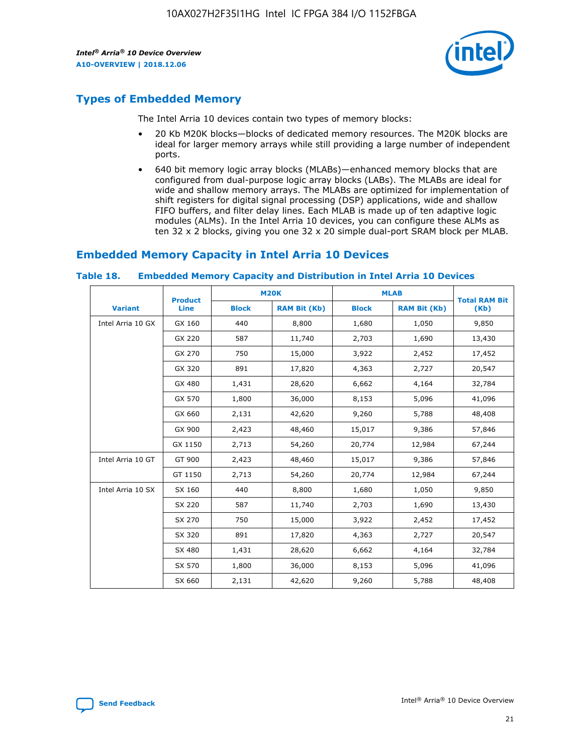

# **Types of Embedded Memory**

The Intel Arria 10 devices contain two types of memory blocks:

- 20 Kb M20K blocks—blocks of dedicated memory resources. The M20K blocks are ideal for larger memory arrays while still providing a large number of independent ports.
- 640 bit memory logic array blocks (MLABs)—enhanced memory blocks that are configured from dual-purpose logic array blocks (LABs). The MLABs are ideal for wide and shallow memory arrays. The MLABs are optimized for implementation of shift registers for digital signal processing (DSP) applications, wide and shallow FIFO buffers, and filter delay lines. Each MLAB is made up of ten adaptive logic modules (ALMs). In the Intel Arria 10 devices, you can configure these ALMs as ten 32 x 2 blocks, giving you one 32 x 20 simple dual-port SRAM block per MLAB.

# **Embedded Memory Capacity in Intel Arria 10 Devices**

|                   | <b>Product</b> | <b>M20K</b>  |                     | <b>MLAB</b>  |                     | <b>Total RAM Bit</b> |
|-------------------|----------------|--------------|---------------------|--------------|---------------------|----------------------|
| <b>Variant</b>    | <b>Line</b>    | <b>Block</b> | <b>RAM Bit (Kb)</b> | <b>Block</b> | <b>RAM Bit (Kb)</b> | (Kb)                 |
| Intel Arria 10 GX | GX 160         | 440          | 8,800               | 1,680        | 1,050               | 9,850                |
|                   | GX 220         | 587          | 11,740              | 2,703        | 1,690               | 13,430               |
|                   | GX 270         | 750          | 15,000              | 3,922        | 2,452               | 17,452               |
|                   | GX 320         | 891          | 17,820              | 4,363        | 2,727               | 20,547               |
|                   | GX 480         | 1,431        | 28,620              | 6,662        | 4,164               | 32,784               |
|                   | GX 570         | 1,800        | 36,000              | 8,153        | 5,096               | 41,096               |
|                   | GX 660         | 2,131        | 42,620              | 9,260        | 5,788               | 48,408               |
|                   | GX 900         | 2,423        | 48,460              | 15,017       | 9,386               | 57,846               |
|                   | GX 1150        | 2,713        | 54,260              | 20,774       | 12,984              | 67,244               |
| Intel Arria 10 GT | GT 900         | 2,423        | 48,460              | 15,017       | 9,386               | 57,846               |
|                   | GT 1150        | 2,713        | 54,260              | 20,774       | 12,984              | 67,244               |
| Intel Arria 10 SX | SX 160         | 440          | 8,800               | 1,680        | 1,050               | 9,850                |
|                   | SX 220         | 587          | 11,740              | 2,703        | 1,690               | 13,430               |
|                   | SX 270         | 750          | 15,000              | 3,922        | 2,452               | 17,452               |
|                   | SX 320         | 891          | 17,820              | 4,363        | 2,727               | 20,547               |
|                   | SX 480         | 1,431        | 28,620              | 6,662        | 4,164               | 32,784               |
|                   | SX 570         | 1,800        | 36,000              | 8,153        | 5,096               | 41,096               |
|                   | SX 660         | 2,131        | 42,620              | 9,260        | 5,788               | 48,408               |

#### **Table 18. Embedded Memory Capacity and Distribution in Intel Arria 10 Devices**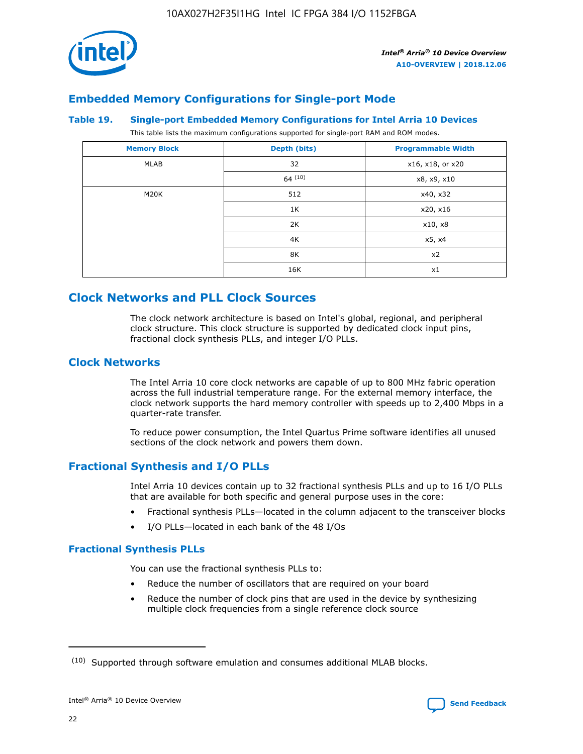

# **Embedded Memory Configurations for Single-port Mode**

#### **Table 19. Single-port Embedded Memory Configurations for Intel Arria 10 Devices**

This table lists the maximum configurations supported for single-port RAM and ROM modes.

| <b>Memory Block</b> | Depth (bits) | <b>Programmable Width</b> |
|---------------------|--------------|---------------------------|
| MLAB                | 32           | x16, x18, or x20          |
|                     | 64(10)       | x8, x9, x10               |
| M20K                | 512          | x40, x32                  |
|                     | 1K           | x20, x16                  |
|                     | 2K           | x10, x8                   |
|                     | 4K           | x5, x4                    |
|                     | 8K           | x2                        |
|                     | 16K          | x1                        |

# **Clock Networks and PLL Clock Sources**

The clock network architecture is based on Intel's global, regional, and peripheral clock structure. This clock structure is supported by dedicated clock input pins, fractional clock synthesis PLLs, and integer I/O PLLs.

# **Clock Networks**

The Intel Arria 10 core clock networks are capable of up to 800 MHz fabric operation across the full industrial temperature range. For the external memory interface, the clock network supports the hard memory controller with speeds up to 2,400 Mbps in a quarter-rate transfer.

To reduce power consumption, the Intel Quartus Prime software identifies all unused sections of the clock network and powers them down.

# **Fractional Synthesis and I/O PLLs**

Intel Arria 10 devices contain up to 32 fractional synthesis PLLs and up to 16 I/O PLLs that are available for both specific and general purpose uses in the core:

- Fractional synthesis PLLs—located in the column adjacent to the transceiver blocks
- I/O PLLs—located in each bank of the 48 I/Os

# **Fractional Synthesis PLLs**

You can use the fractional synthesis PLLs to:

- Reduce the number of oscillators that are required on your board
- Reduce the number of clock pins that are used in the device by synthesizing multiple clock frequencies from a single reference clock source

<sup>(10)</sup> Supported through software emulation and consumes additional MLAB blocks.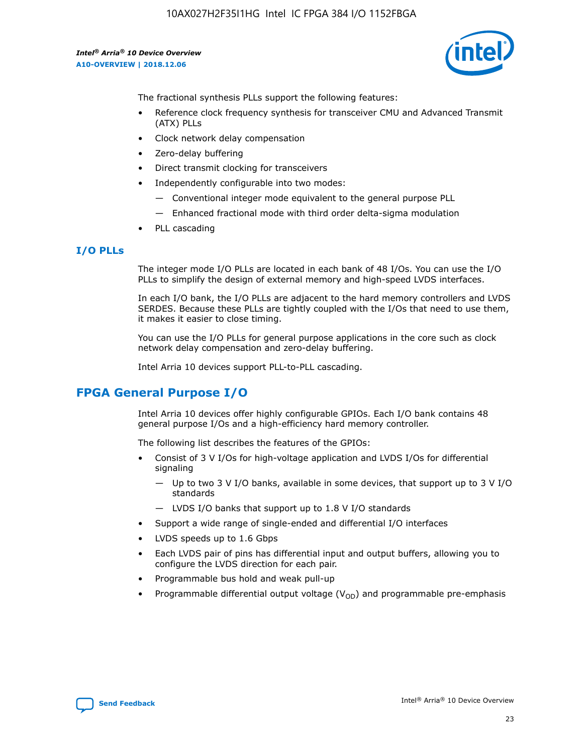

The fractional synthesis PLLs support the following features:

- Reference clock frequency synthesis for transceiver CMU and Advanced Transmit (ATX) PLLs
- Clock network delay compensation
- Zero-delay buffering
- Direct transmit clocking for transceivers
- Independently configurable into two modes:
	- Conventional integer mode equivalent to the general purpose PLL
	- Enhanced fractional mode with third order delta-sigma modulation
- PLL cascading

### **I/O PLLs**

The integer mode I/O PLLs are located in each bank of 48 I/Os. You can use the I/O PLLs to simplify the design of external memory and high-speed LVDS interfaces.

In each I/O bank, the I/O PLLs are adjacent to the hard memory controllers and LVDS SERDES. Because these PLLs are tightly coupled with the I/Os that need to use them, it makes it easier to close timing.

You can use the I/O PLLs for general purpose applications in the core such as clock network delay compensation and zero-delay buffering.

Intel Arria 10 devices support PLL-to-PLL cascading.

# **FPGA General Purpose I/O**

Intel Arria 10 devices offer highly configurable GPIOs. Each I/O bank contains 48 general purpose I/Os and a high-efficiency hard memory controller.

The following list describes the features of the GPIOs:

- Consist of 3 V I/Os for high-voltage application and LVDS I/Os for differential signaling
	- Up to two 3 V I/O banks, available in some devices, that support up to 3 V I/O standards
	- LVDS I/O banks that support up to 1.8 V I/O standards
- Support a wide range of single-ended and differential I/O interfaces
- LVDS speeds up to 1.6 Gbps
- Each LVDS pair of pins has differential input and output buffers, allowing you to configure the LVDS direction for each pair.
- Programmable bus hold and weak pull-up
- Programmable differential output voltage  $(V_{OD})$  and programmable pre-emphasis

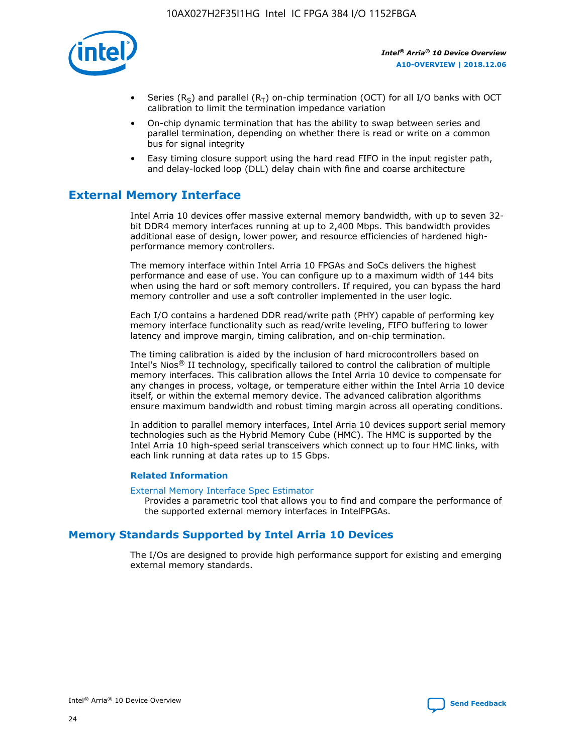

- Series (R<sub>S</sub>) and parallel (R<sub>T</sub>) on-chip termination (OCT) for all I/O banks with OCT calibration to limit the termination impedance variation
- On-chip dynamic termination that has the ability to swap between series and parallel termination, depending on whether there is read or write on a common bus for signal integrity
- Easy timing closure support using the hard read FIFO in the input register path, and delay-locked loop (DLL) delay chain with fine and coarse architecture

# **External Memory Interface**

Intel Arria 10 devices offer massive external memory bandwidth, with up to seven 32 bit DDR4 memory interfaces running at up to 2,400 Mbps. This bandwidth provides additional ease of design, lower power, and resource efficiencies of hardened highperformance memory controllers.

The memory interface within Intel Arria 10 FPGAs and SoCs delivers the highest performance and ease of use. You can configure up to a maximum width of 144 bits when using the hard or soft memory controllers. If required, you can bypass the hard memory controller and use a soft controller implemented in the user logic.

Each I/O contains a hardened DDR read/write path (PHY) capable of performing key memory interface functionality such as read/write leveling, FIFO buffering to lower latency and improve margin, timing calibration, and on-chip termination.

The timing calibration is aided by the inclusion of hard microcontrollers based on Intel's Nios® II technology, specifically tailored to control the calibration of multiple memory interfaces. This calibration allows the Intel Arria 10 device to compensate for any changes in process, voltage, or temperature either within the Intel Arria 10 device itself, or within the external memory device. The advanced calibration algorithms ensure maximum bandwidth and robust timing margin across all operating conditions.

In addition to parallel memory interfaces, Intel Arria 10 devices support serial memory technologies such as the Hybrid Memory Cube (HMC). The HMC is supported by the Intel Arria 10 high-speed serial transceivers which connect up to four HMC links, with each link running at data rates up to 15 Gbps.

### **Related Information**

#### [External Memory Interface Spec Estimator](http://www.altera.com/technology/memory/estimator/mem-emif-index.html)

Provides a parametric tool that allows you to find and compare the performance of the supported external memory interfaces in IntelFPGAs.

# **Memory Standards Supported by Intel Arria 10 Devices**

The I/Os are designed to provide high performance support for existing and emerging external memory standards.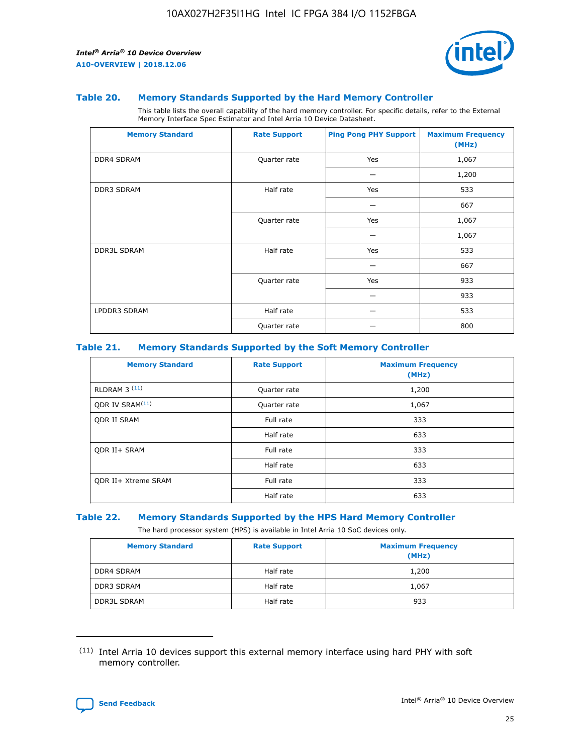

#### **Table 20. Memory Standards Supported by the Hard Memory Controller**

This table lists the overall capability of the hard memory controller. For specific details, refer to the External Memory Interface Spec Estimator and Intel Arria 10 Device Datasheet.

| <b>Memory Standard</b> | <b>Rate Support</b> | <b>Ping Pong PHY Support</b> | <b>Maximum Frequency</b><br>(MHz) |
|------------------------|---------------------|------------------------------|-----------------------------------|
| <b>DDR4 SDRAM</b>      | Quarter rate        | Yes                          | 1,067                             |
|                        |                     |                              | 1,200                             |
| DDR3 SDRAM             | Half rate           | Yes                          | 533                               |
|                        |                     |                              | 667                               |
|                        | Quarter rate        | Yes                          | 1,067                             |
|                        |                     |                              | 1,067                             |
| <b>DDR3L SDRAM</b>     | Half rate           | Yes                          | 533                               |
|                        |                     |                              | 667                               |
|                        | Quarter rate        | Yes                          | 933                               |
|                        |                     |                              | 933                               |
| LPDDR3 SDRAM           | Half rate           |                              | 533                               |
|                        | Quarter rate        |                              | 800                               |

#### **Table 21. Memory Standards Supported by the Soft Memory Controller**

| <b>Memory Standard</b>      | <b>Rate Support</b> | <b>Maximum Frequency</b><br>(MHz) |
|-----------------------------|---------------------|-----------------------------------|
| <b>RLDRAM 3 (11)</b>        | Quarter rate        | 1,200                             |
| ODR IV SRAM <sup>(11)</sup> | Quarter rate        | 1,067                             |
| <b>ODR II SRAM</b>          | Full rate           | 333                               |
|                             | Half rate           | 633                               |
| <b>ODR II+ SRAM</b>         | Full rate           | 333                               |
|                             | Half rate           | 633                               |
| <b>ODR II+ Xtreme SRAM</b>  | Full rate           | 333                               |
|                             | Half rate           | 633                               |

#### **Table 22. Memory Standards Supported by the HPS Hard Memory Controller**

The hard processor system (HPS) is available in Intel Arria 10 SoC devices only.

| <b>Memory Standard</b> | <b>Rate Support</b> | <b>Maximum Frequency</b><br>(MHz) |
|------------------------|---------------------|-----------------------------------|
| <b>DDR4 SDRAM</b>      | Half rate           | 1,200                             |
| <b>DDR3 SDRAM</b>      | Half rate           | 1,067                             |
| <b>DDR3L SDRAM</b>     | Half rate           | 933                               |

<sup>(11)</sup> Intel Arria 10 devices support this external memory interface using hard PHY with soft memory controller.

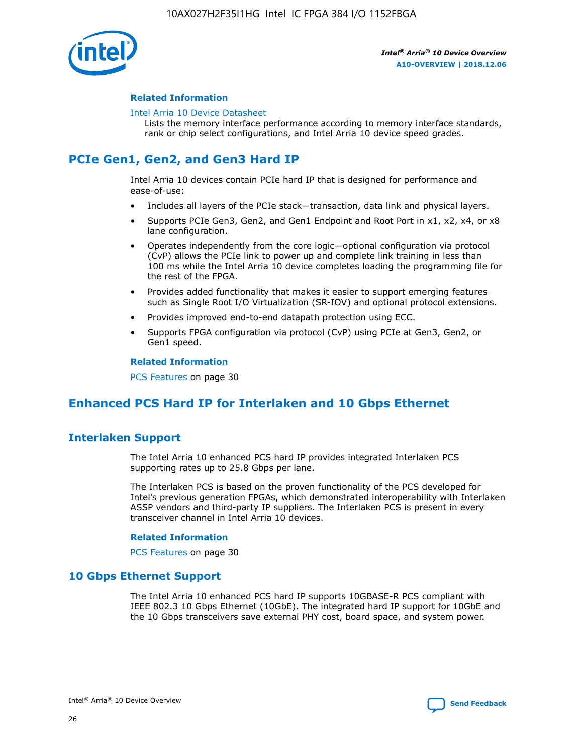

#### **Related Information**

#### [Intel Arria 10 Device Datasheet](https://www.intel.com/content/www/us/en/programmable/documentation/mcn1413182292568.html#mcn1413182153340)

Lists the memory interface performance according to memory interface standards, rank or chip select configurations, and Intel Arria 10 device speed grades.

# **PCIe Gen1, Gen2, and Gen3 Hard IP**

Intel Arria 10 devices contain PCIe hard IP that is designed for performance and ease-of-use:

- Includes all layers of the PCIe stack—transaction, data link and physical layers.
- Supports PCIe Gen3, Gen2, and Gen1 Endpoint and Root Port in x1, x2, x4, or x8 lane configuration.
- Operates independently from the core logic—optional configuration via protocol (CvP) allows the PCIe link to power up and complete link training in less than 100 ms while the Intel Arria 10 device completes loading the programming file for the rest of the FPGA.
- Provides added functionality that makes it easier to support emerging features such as Single Root I/O Virtualization (SR-IOV) and optional protocol extensions.
- Provides improved end-to-end datapath protection using ECC.
- Supports FPGA configuration via protocol (CvP) using PCIe at Gen3, Gen2, or Gen1 speed.

#### **Related Information**

PCS Features on page 30

# **Enhanced PCS Hard IP for Interlaken and 10 Gbps Ethernet**

# **Interlaken Support**

The Intel Arria 10 enhanced PCS hard IP provides integrated Interlaken PCS supporting rates up to 25.8 Gbps per lane.

The Interlaken PCS is based on the proven functionality of the PCS developed for Intel's previous generation FPGAs, which demonstrated interoperability with Interlaken ASSP vendors and third-party IP suppliers. The Interlaken PCS is present in every transceiver channel in Intel Arria 10 devices.

#### **Related Information**

PCS Features on page 30

## **10 Gbps Ethernet Support**

The Intel Arria 10 enhanced PCS hard IP supports 10GBASE-R PCS compliant with IEEE 802.3 10 Gbps Ethernet (10GbE). The integrated hard IP support for 10GbE and the 10 Gbps transceivers save external PHY cost, board space, and system power.



Intel® Arria® 10 Device Overview **[Send Feedback](mailto:FPGAtechdocfeedback@intel.com?subject=Feedback%20on%20Intel%20Arria%2010%20Device%20Overview%20(A10-OVERVIEW%202018.12.06)&body=We%20appreciate%20your%20feedback.%20In%20your%20comments,%20also%20specify%20the%20page%20number%20or%20paragraph.%20Thank%20you.)**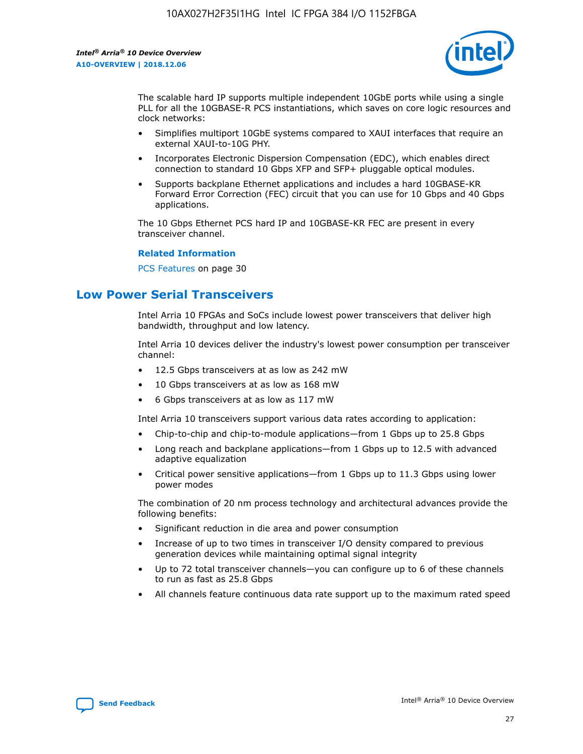

The scalable hard IP supports multiple independent 10GbE ports while using a single PLL for all the 10GBASE-R PCS instantiations, which saves on core logic resources and clock networks:

- Simplifies multiport 10GbE systems compared to XAUI interfaces that require an external XAUI-to-10G PHY.
- Incorporates Electronic Dispersion Compensation (EDC), which enables direct connection to standard 10 Gbps XFP and SFP+ pluggable optical modules.
- Supports backplane Ethernet applications and includes a hard 10GBASE-KR Forward Error Correction (FEC) circuit that you can use for 10 Gbps and 40 Gbps applications.

The 10 Gbps Ethernet PCS hard IP and 10GBASE-KR FEC are present in every transceiver channel.

### **Related Information**

PCS Features on page 30

# **Low Power Serial Transceivers**

Intel Arria 10 FPGAs and SoCs include lowest power transceivers that deliver high bandwidth, throughput and low latency.

Intel Arria 10 devices deliver the industry's lowest power consumption per transceiver channel:

- 12.5 Gbps transceivers at as low as 242 mW
- 10 Gbps transceivers at as low as 168 mW
- 6 Gbps transceivers at as low as 117 mW

Intel Arria 10 transceivers support various data rates according to application:

- Chip-to-chip and chip-to-module applications—from 1 Gbps up to 25.8 Gbps
- Long reach and backplane applications—from 1 Gbps up to 12.5 with advanced adaptive equalization
- Critical power sensitive applications—from 1 Gbps up to 11.3 Gbps using lower power modes

The combination of 20 nm process technology and architectural advances provide the following benefits:

- Significant reduction in die area and power consumption
- Increase of up to two times in transceiver I/O density compared to previous generation devices while maintaining optimal signal integrity
- Up to 72 total transceiver channels—you can configure up to 6 of these channels to run as fast as 25.8 Gbps
- All channels feature continuous data rate support up to the maximum rated speed

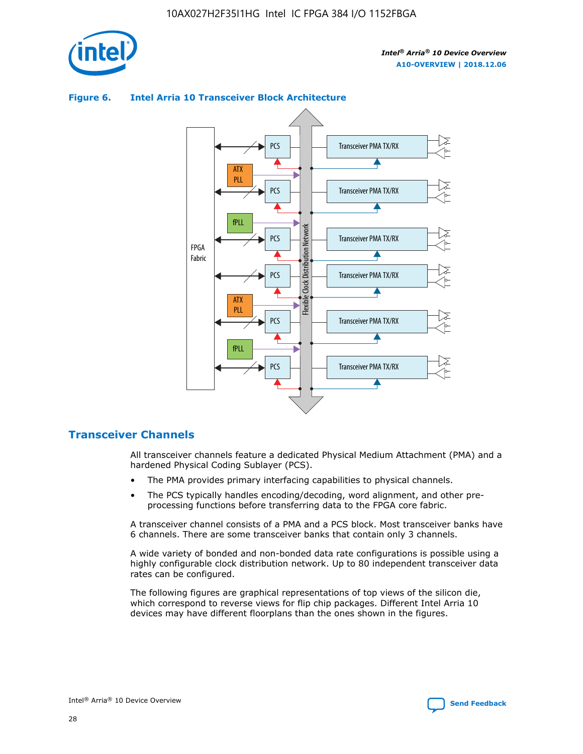

### Transceiver PMA TX/RX PCS ATX PLL Transceiver PMA TX/RX PCS fPLL Network Flexible Clock Distribution Network PCS Transceiver PMA TX/RX FPGA **Clock Distribution** Fabric PCS Transceiver PMA TX/RX ATX Flexible PLL PCS Transceiver PMA TX/RX ▲ fPLL Transceiver PMA TX/RX PCS 4

## **Figure 6. Intel Arria 10 Transceiver Block Architecture**

# **Transceiver Channels**

All transceiver channels feature a dedicated Physical Medium Attachment (PMA) and a hardened Physical Coding Sublayer (PCS).

- The PMA provides primary interfacing capabilities to physical channels.
- The PCS typically handles encoding/decoding, word alignment, and other preprocessing functions before transferring data to the FPGA core fabric.

A transceiver channel consists of a PMA and a PCS block. Most transceiver banks have 6 channels. There are some transceiver banks that contain only 3 channels.

A wide variety of bonded and non-bonded data rate configurations is possible using a highly configurable clock distribution network. Up to 80 independent transceiver data rates can be configured.

The following figures are graphical representations of top views of the silicon die, which correspond to reverse views for flip chip packages. Different Intel Arria 10 devices may have different floorplans than the ones shown in the figures.

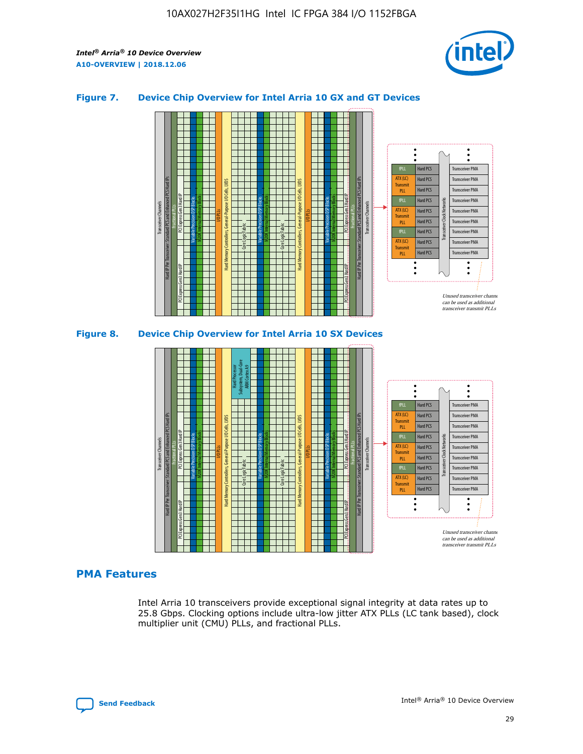

## **Figure 7. Device Chip Overview for Intel Arria 10 GX and GT Devices**



M20K Internal Memory Blocks Core Logic Fabric Transceiver Channels Hard IP Per Transceiver: Standard PCS and Enhanced PCS Hard IPs PCI Express Gen3 Hard IP Fractional PLLs M20K Internal Memory Blocks PCI Express Gen3 Hard IP Variable Precision DSP Blocks I/O PLLs Hard Memory Controllers, General-Purpose I/O Cells, LVDS Hard Processor Subsystem, Dual-Core ARM Cortex A9 M20K Internal Memory Blocks Variable Precision DSP Blocks M20K Internal Memory Blocks Core Logic Fabric I/O PLLs Hard Memory Controllers, General-Purpose I/O Cells, LVDS M20K Internal Memory Blocks Variable Precision DSP Blocks M20K Internal Memory Blocks Transceiver Channels Hard IP Per Transceiver: Standard PCS and Enhanced PCS Hard IPs PCI Express Gen3 Hard IP Fractional PLLs PCI Express Gen3 Hard IP Hard PCS Hard PCS Hard PCS Hard PCS Hard PCS Hard PCS Hard PCS Hard PCS Transceiver PMA Transceiver PMA Transceiver PMA Transceiver PMA Transceiver PMA Transceiver PMA Unused transceiver chann can be used as additional transceiver transmit PLLs Transceiver PMA Transceiver PMA Transceiver Clock Networks ATX (LC) **Transmit** PLL fPLL ATX (LC) Transmi PLL fPLL ATX (LC) **Transmit** PLL

# **PMA Features**

Intel Arria 10 transceivers provide exceptional signal integrity at data rates up to 25.8 Gbps. Clocking options include ultra-low jitter ATX PLLs (LC tank based), clock multiplier unit (CMU) PLLs, and fractional PLLs.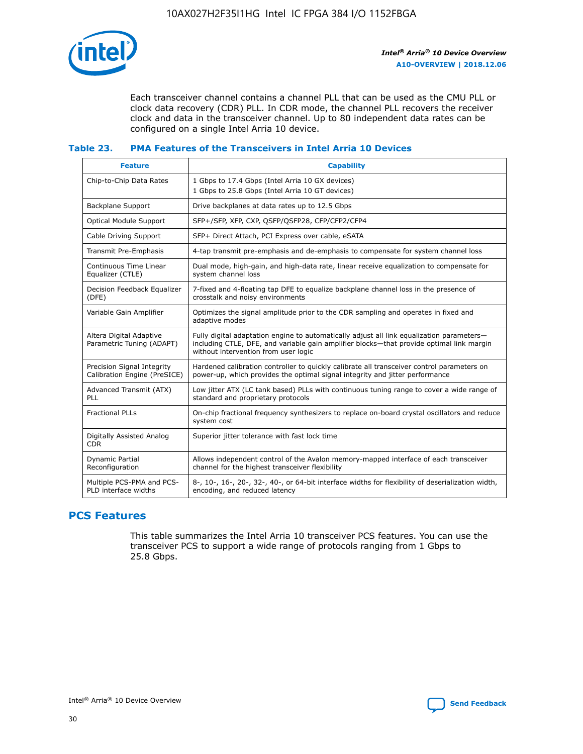

Each transceiver channel contains a channel PLL that can be used as the CMU PLL or clock data recovery (CDR) PLL. In CDR mode, the channel PLL recovers the receiver clock and data in the transceiver channel. Up to 80 independent data rates can be configured on a single Intel Arria 10 device.

## **Table 23. PMA Features of the Transceivers in Intel Arria 10 Devices**

| <b>Feature</b>                                             | <b>Capability</b>                                                                                                                                                                                                             |
|------------------------------------------------------------|-------------------------------------------------------------------------------------------------------------------------------------------------------------------------------------------------------------------------------|
| Chip-to-Chip Data Rates                                    | 1 Gbps to 17.4 Gbps (Intel Arria 10 GX devices)<br>1 Gbps to 25.8 Gbps (Intel Arria 10 GT devices)                                                                                                                            |
| Backplane Support                                          | Drive backplanes at data rates up to 12.5 Gbps                                                                                                                                                                                |
| <b>Optical Module Support</b>                              | SFP+/SFP, XFP, CXP, QSFP/QSFP28, CFP/CFP2/CFP4                                                                                                                                                                                |
| Cable Driving Support                                      | SFP+ Direct Attach, PCI Express over cable, eSATA                                                                                                                                                                             |
| Transmit Pre-Emphasis                                      | 4-tap transmit pre-emphasis and de-emphasis to compensate for system channel loss                                                                                                                                             |
| Continuous Time Linear<br>Equalizer (CTLE)                 | Dual mode, high-gain, and high-data rate, linear receive equalization to compensate for<br>system channel loss                                                                                                                |
| Decision Feedback Equalizer<br>(DFE)                       | 7-fixed and 4-floating tap DFE to equalize backplane channel loss in the presence of<br>crosstalk and noisy environments                                                                                                      |
| Variable Gain Amplifier                                    | Optimizes the signal amplitude prior to the CDR sampling and operates in fixed and<br>adaptive modes                                                                                                                          |
| Altera Digital Adaptive<br>Parametric Tuning (ADAPT)       | Fully digital adaptation engine to automatically adjust all link equalization parameters-<br>including CTLE, DFE, and variable gain amplifier blocks—that provide optimal link margin<br>without intervention from user logic |
| Precision Signal Integrity<br>Calibration Engine (PreSICE) | Hardened calibration controller to quickly calibrate all transceiver control parameters on<br>power-up, which provides the optimal signal integrity and jitter performance                                                    |
| Advanced Transmit (ATX)<br>PLL                             | Low jitter ATX (LC tank based) PLLs with continuous tuning range to cover a wide range of<br>standard and proprietary protocols                                                                                               |
| <b>Fractional PLLs</b>                                     | On-chip fractional frequency synthesizers to replace on-board crystal oscillators and reduce<br>system cost                                                                                                                   |
| Digitally Assisted Analog<br><b>CDR</b>                    | Superior jitter tolerance with fast lock time                                                                                                                                                                                 |
| Dynamic Partial<br>Reconfiguration                         | Allows independent control of the Avalon memory-mapped interface of each transceiver<br>channel for the highest transceiver flexibility                                                                                       |
| Multiple PCS-PMA and PCS-<br>PLD interface widths          | 8-, 10-, 16-, 20-, 32-, 40-, or 64-bit interface widths for flexibility of deserialization width,<br>encoding, and reduced latency                                                                                            |

# **PCS Features**

This table summarizes the Intel Arria 10 transceiver PCS features. You can use the transceiver PCS to support a wide range of protocols ranging from 1 Gbps to 25.8 Gbps.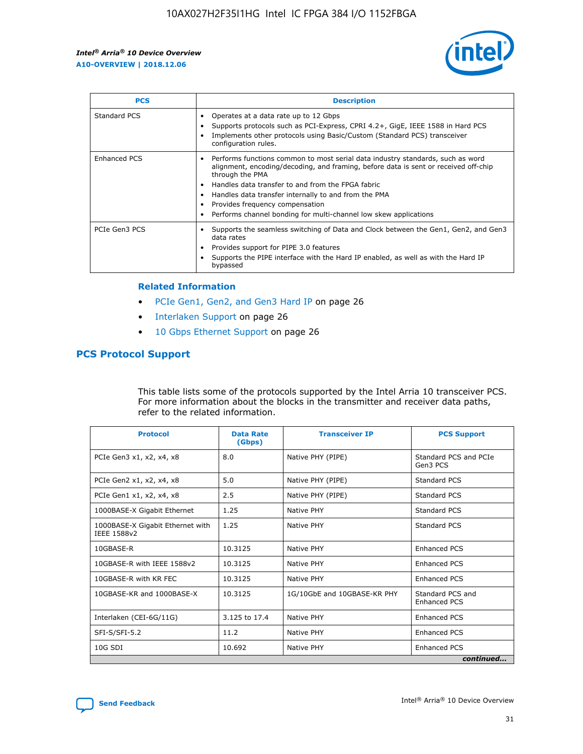

| <b>PCS</b>          | <b>Description</b>                                                                                                                                                                                                                                                                                                                                                                                             |
|---------------------|----------------------------------------------------------------------------------------------------------------------------------------------------------------------------------------------------------------------------------------------------------------------------------------------------------------------------------------------------------------------------------------------------------------|
| Standard PCS        | Operates at a data rate up to 12 Gbps<br>Supports protocols such as PCI-Express, CPRI 4.2+, GigE, IEEE 1588 in Hard PCS<br>Implements other protocols using Basic/Custom (Standard PCS) transceiver<br>configuration rules.                                                                                                                                                                                    |
| <b>Enhanced PCS</b> | Performs functions common to most serial data industry standards, such as word<br>alignment, encoding/decoding, and framing, before data is sent or received off-chip<br>through the PMA<br>• Handles data transfer to and from the FPGA fabric<br>Handles data transfer internally to and from the PMA<br>Provides frequency compensation<br>Performs channel bonding for multi-channel low skew applications |
| PCIe Gen3 PCS       | Supports the seamless switching of Data and Clock between the Gen1, Gen2, and Gen3<br>data rates<br>Provides support for PIPE 3.0 features<br>Supports the PIPE interface with the Hard IP enabled, as well as with the Hard IP<br>bypassed                                                                                                                                                                    |

#### **Related Information**

- PCIe Gen1, Gen2, and Gen3 Hard IP on page 26
- Interlaken Support on page 26
- 10 Gbps Ethernet Support on page 26

# **PCS Protocol Support**

This table lists some of the protocols supported by the Intel Arria 10 transceiver PCS. For more information about the blocks in the transmitter and receiver data paths, refer to the related information.

| <b>Protocol</b>                                 | <b>Data Rate</b><br>(Gbps) | <b>Transceiver IP</b>       | <b>PCS Support</b>                      |
|-------------------------------------------------|----------------------------|-----------------------------|-----------------------------------------|
| PCIe Gen3 x1, x2, x4, x8                        | 8.0                        | Native PHY (PIPE)           | Standard PCS and PCIe<br>Gen3 PCS       |
| PCIe Gen2 x1, x2, x4, x8                        | 5.0                        | Native PHY (PIPE)           | <b>Standard PCS</b>                     |
| PCIe Gen1 x1, x2, x4, x8                        | 2.5                        | Native PHY (PIPE)           | Standard PCS                            |
| 1000BASE-X Gigabit Ethernet                     | 1.25                       | Native PHY                  | <b>Standard PCS</b>                     |
| 1000BASE-X Gigabit Ethernet with<br>IEEE 1588v2 | 1.25                       | Native PHY                  | Standard PCS                            |
| 10GBASE-R                                       | 10.3125                    | Native PHY                  | <b>Enhanced PCS</b>                     |
| 10GBASE-R with IEEE 1588v2                      | 10.3125                    | Native PHY                  | <b>Enhanced PCS</b>                     |
| 10GBASE-R with KR FEC                           | 10.3125                    | Native PHY                  | <b>Enhanced PCS</b>                     |
| 10GBASE-KR and 1000BASE-X                       | 10.3125                    | 1G/10GbE and 10GBASE-KR PHY | Standard PCS and<br><b>Enhanced PCS</b> |
| Interlaken (CEI-6G/11G)                         | 3.125 to 17.4              | Native PHY                  | <b>Enhanced PCS</b>                     |
| SFI-S/SFI-5.2                                   | 11.2                       | Native PHY                  | <b>Enhanced PCS</b>                     |
| $10G$ SDI                                       | 10.692                     | Native PHY                  | <b>Enhanced PCS</b>                     |
|                                                 |                            |                             | continued                               |

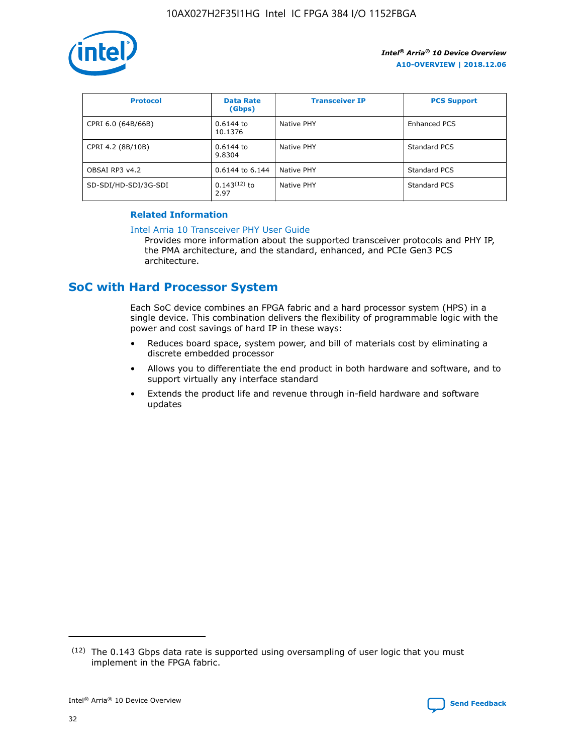

| <b>Protocol</b>      | <b>Data Rate</b><br>(Gbps) | <b>Transceiver IP</b> | <b>PCS Support</b> |
|----------------------|----------------------------|-----------------------|--------------------|
| CPRI 6.0 (64B/66B)   | 0.6144 to<br>10.1376       | Native PHY            | Enhanced PCS       |
| CPRI 4.2 (8B/10B)    | 0.6144 to<br>9.8304        | Native PHY            | Standard PCS       |
| OBSAI RP3 v4.2       | 0.6144 to 6.144            | Native PHY            | Standard PCS       |
| SD-SDI/HD-SDI/3G-SDI | $0.143(12)$ to<br>2.97     | Native PHY            | Standard PCS       |

# **Related Information**

#### [Intel Arria 10 Transceiver PHY User Guide](https://www.intel.com/content/www/us/en/programmable/documentation/nik1398707230472.html#nik1398707091164)

Provides more information about the supported transceiver protocols and PHY IP, the PMA architecture, and the standard, enhanced, and PCIe Gen3 PCS architecture.

# **SoC with Hard Processor System**

Each SoC device combines an FPGA fabric and a hard processor system (HPS) in a single device. This combination delivers the flexibility of programmable logic with the power and cost savings of hard IP in these ways:

- Reduces board space, system power, and bill of materials cost by eliminating a discrete embedded processor
- Allows you to differentiate the end product in both hardware and software, and to support virtually any interface standard
- Extends the product life and revenue through in-field hardware and software updates

 $(12)$  The 0.143 Gbps data rate is supported using oversampling of user logic that you must implement in the FPGA fabric.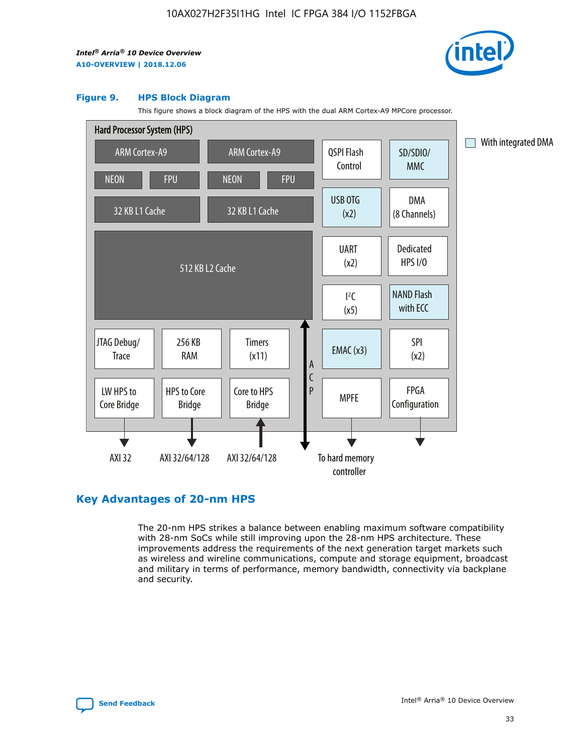

#### **Figure 9. HPS Block Diagram**

This figure shows a block diagram of the HPS with the dual ARM Cortex-A9 MPCore processor.



# **Key Advantages of 20-nm HPS**

The 20-nm HPS strikes a balance between enabling maximum software compatibility with 28-nm SoCs while still improving upon the 28-nm HPS architecture. These improvements address the requirements of the next generation target markets such as wireless and wireline communications, compute and storage equipment, broadcast and military in terms of performance, memory bandwidth, connectivity via backplane and security.

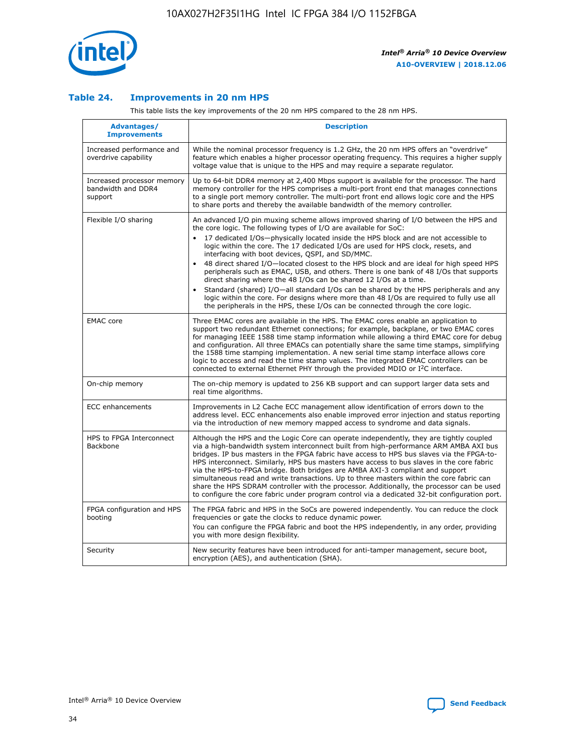

## **Table 24. Improvements in 20 nm HPS**

This table lists the key improvements of the 20 nm HPS compared to the 28 nm HPS.

| Advantages/<br><b>Improvements</b>                          | <b>Description</b>                                                                                                                                                                                                                                                                                                                                                                                                                                                                                                                                                                                                                                                                                                                                                                                                                   |
|-------------------------------------------------------------|--------------------------------------------------------------------------------------------------------------------------------------------------------------------------------------------------------------------------------------------------------------------------------------------------------------------------------------------------------------------------------------------------------------------------------------------------------------------------------------------------------------------------------------------------------------------------------------------------------------------------------------------------------------------------------------------------------------------------------------------------------------------------------------------------------------------------------------|
| Increased performance and<br>overdrive capability           | While the nominal processor frequency is 1.2 GHz, the 20 nm HPS offers an "overdrive"<br>feature which enables a higher processor operating frequency. This requires a higher supply<br>voltage value that is unique to the HPS and may require a separate regulator.                                                                                                                                                                                                                                                                                                                                                                                                                                                                                                                                                                |
| Increased processor memory<br>bandwidth and DDR4<br>support | Up to 64-bit DDR4 memory at 2,400 Mbps support is available for the processor. The hard<br>memory controller for the HPS comprises a multi-port front end that manages connections<br>to a single port memory controller. The multi-port front end allows logic core and the HPS<br>to share ports and thereby the available bandwidth of the memory controller.                                                                                                                                                                                                                                                                                                                                                                                                                                                                     |
| Flexible I/O sharing                                        | An advanced I/O pin muxing scheme allows improved sharing of I/O between the HPS and<br>the core logic. The following types of I/O are available for SoC:<br>17 dedicated I/Os-physically located inside the HPS block and are not accessible to<br>logic within the core. The 17 dedicated I/Os are used for HPS clock, resets, and<br>interfacing with boot devices, QSPI, and SD/MMC.<br>48 direct shared I/O-located closest to the HPS block and are ideal for high speed HPS<br>peripherals such as EMAC, USB, and others. There is one bank of 48 I/Os that supports<br>direct sharing where the 48 I/Os can be shared 12 I/Os at a time.<br>Standard (shared) I/O-all standard I/Os can be shared by the HPS peripherals and any<br>logic within the core. For designs where more than 48 I/Os are required to fully use all |
| <b>EMAC</b> core                                            | the peripherals in the HPS, these I/Os can be connected through the core logic.<br>Three EMAC cores are available in the HPS. The EMAC cores enable an application to<br>support two redundant Ethernet connections; for example, backplane, or two EMAC cores<br>for managing IEEE 1588 time stamp information while allowing a third EMAC core for debug<br>and configuration. All three EMACs can potentially share the same time stamps, simplifying<br>the 1588 time stamping implementation. A new serial time stamp interface allows core<br>logic to access and read the time stamp values. The integrated EMAC controllers can be<br>connected to external Ethernet PHY through the provided MDIO or I <sup>2</sup> C interface.                                                                                            |
| On-chip memory                                              | The on-chip memory is updated to 256 KB support and can support larger data sets and<br>real time algorithms.                                                                                                                                                                                                                                                                                                                                                                                                                                                                                                                                                                                                                                                                                                                        |
| <b>ECC</b> enhancements                                     | Improvements in L2 Cache ECC management allow identification of errors down to the<br>address level. ECC enhancements also enable improved error injection and status reporting<br>via the introduction of new memory mapped access to syndrome and data signals.                                                                                                                                                                                                                                                                                                                                                                                                                                                                                                                                                                    |
| HPS to FPGA Interconnect<br><b>Backbone</b>                 | Although the HPS and the Logic Core can operate independently, they are tightly coupled<br>via a high-bandwidth system interconnect built from high-performance ARM AMBA AXI bus<br>bridges. IP bus masters in the FPGA fabric have access to HPS bus slaves via the FPGA-to-<br>HPS interconnect. Similarly, HPS bus masters have access to bus slaves in the core fabric<br>via the HPS-to-FPGA bridge. Both bridges are AMBA AXI-3 compliant and support<br>simultaneous read and write transactions. Up to three masters within the core fabric can<br>share the HPS SDRAM controller with the processor. Additionally, the processor can be used<br>to configure the core fabric under program control via a dedicated 32-bit configuration port.                                                                               |
| FPGA configuration and HPS<br>booting                       | The FPGA fabric and HPS in the SoCs are powered independently. You can reduce the clock<br>frequencies or gate the clocks to reduce dynamic power.<br>You can configure the FPGA fabric and boot the HPS independently, in any order, providing<br>you with more design flexibility.                                                                                                                                                                                                                                                                                                                                                                                                                                                                                                                                                 |
| Security                                                    | New security features have been introduced for anti-tamper management, secure boot,<br>encryption (AES), and authentication (SHA).                                                                                                                                                                                                                                                                                                                                                                                                                                                                                                                                                                                                                                                                                                   |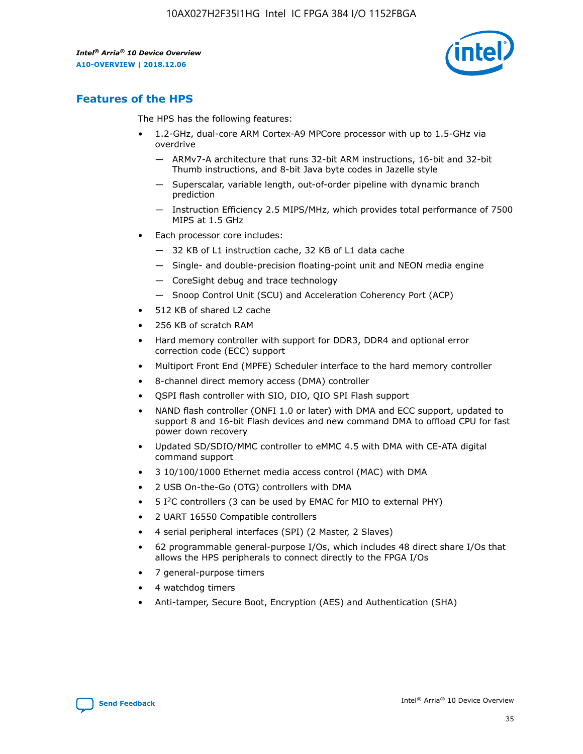

# **Features of the HPS**

The HPS has the following features:

- 1.2-GHz, dual-core ARM Cortex-A9 MPCore processor with up to 1.5-GHz via overdrive
	- ARMv7-A architecture that runs 32-bit ARM instructions, 16-bit and 32-bit Thumb instructions, and 8-bit Java byte codes in Jazelle style
	- Superscalar, variable length, out-of-order pipeline with dynamic branch prediction
	- Instruction Efficiency 2.5 MIPS/MHz, which provides total performance of 7500 MIPS at 1.5 GHz
- Each processor core includes:
	- 32 KB of L1 instruction cache, 32 KB of L1 data cache
	- Single- and double-precision floating-point unit and NEON media engine
	- CoreSight debug and trace technology
	- Snoop Control Unit (SCU) and Acceleration Coherency Port (ACP)
- 512 KB of shared L2 cache
- 256 KB of scratch RAM
- Hard memory controller with support for DDR3, DDR4 and optional error correction code (ECC) support
- Multiport Front End (MPFE) Scheduler interface to the hard memory controller
- 8-channel direct memory access (DMA) controller
- QSPI flash controller with SIO, DIO, QIO SPI Flash support
- NAND flash controller (ONFI 1.0 or later) with DMA and ECC support, updated to support 8 and 16-bit Flash devices and new command DMA to offload CPU for fast power down recovery
- Updated SD/SDIO/MMC controller to eMMC 4.5 with DMA with CE-ATA digital command support
- 3 10/100/1000 Ethernet media access control (MAC) with DMA
- 2 USB On-the-Go (OTG) controllers with DMA
- $\bullet$  5 I<sup>2</sup>C controllers (3 can be used by EMAC for MIO to external PHY)
- 2 UART 16550 Compatible controllers
- 4 serial peripheral interfaces (SPI) (2 Master, 2 Slaves)
- 62 programmable general-purpose I/Os, which includes 48 direct share I/Os that allows the HPS peripherals to connect directly to the FPGA I/Os
- 7 general-purpose timers
- 4 watchdog timers
- Anti-tamper, Secure Boot, Encryption (AES) and Authentication (SHA)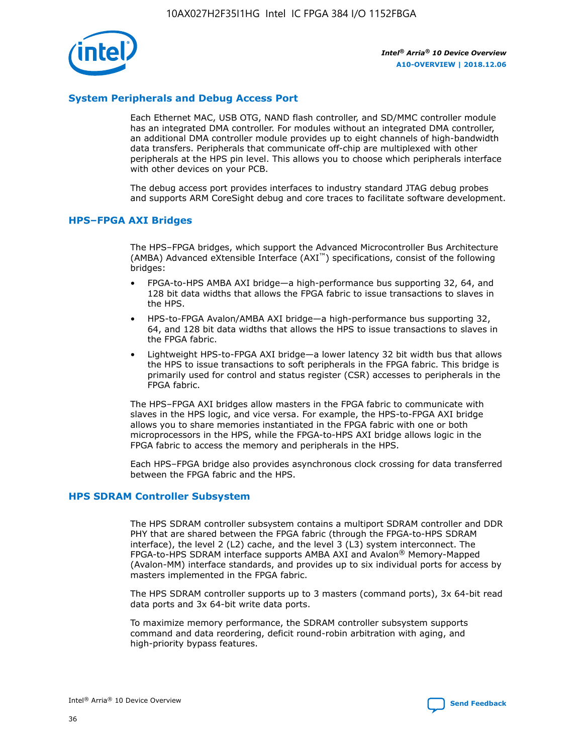

# **System Peripherals and Debug Access Port**

Each Ethernet MAC, USB OTG, NAND flash controller, and SD/MMC controller module has an integrated DMA controller. For modules without an integrated DMA controller, an additional DMA controller module provides up to eight channels of high-bandwidth data transfers. Peripherals that communicate off-chip are multiplexed with other peripherals at the HPS pin level. This allows you to choose which peripherals interface with other devices on your PCB.

The debug access port provides interfaces to industry standard JTAG debug probes and supports ARM CoreSight debug and core traces to facilitate software development.

#### **HPS–FPGA AXI Bridges**

The HPS–FPGA bridges, which support the Advanced Microcontroller Bus Architecture (AMBA) Advanced eXtensible Interface (AXI™) specifications, consist of the following bridges:

- FPGA-to-HPS AMBA AXI bridge—a high-performance bus supporting 32, 64, and 128 bit data widths that allows the FPGA fabric to issue transactions to slaves in the HPS.
- HPS-to-FPGA Avalon/AMBA AXI bridge—a high-performance bus supporting 32, 64, and 128 bit data widths that allows the HPS to issue transactions to slaves in the FPGA fabric.
- Lightweight HPS-to-FPGA AXI bridge—a lower latency 32 bit width bus that allows the HPS to issue transactions to soft peripherals in the FPGA fabric. This bridge is primarily used for control and status register (CSR) accesses to peripherals in the FPGA fabric.

The HPS–FPGA AXI bridges allow masters in the FPGA fabric to communicate with slaves in the HPS logic, and vice versa. For example, the HPS-to-FPGA AXI bridge allows you to share memories instantiated in the FPGA fabric with one or both microprocessors in the HPS, while the FPGA-to-HPS AXI bridge allows logic in the FPGA fabric to access the memory and peripherals in the HPS.

Each HPS–FPGA bridge also provides asynchronous clock crossing for data transferred between the FPGA fabric and the HPS.

#### **HPS SDRAM Controller Subsystem**

The HPS SDRAM controller subsystem contains a multiport SDRAM controller and DDR PHY that are shared between the FPGA fabric (through the FPGA-to-HPS SDRAM interface), the level 2 (L2) cache, and the level 3 (L3) system interconnect. The FPGA-to-HPS SDRAM interface supports AMBA AXI and Avalon® Memory-Mapped (Avalon-MM) interface standards, and provides up to six individual ports for access by masters implemented in the FPGA fabric.

The HPS SDRAM controller supports up to 3 masters (command ports), 3x 64-bit read data ports and 3x 64-bit write data ports.

To maximize memory performance, the SDRAM controller subsystem supports command and data reordering, deficit round-robin arbitration with aging, and high-priority bypass features.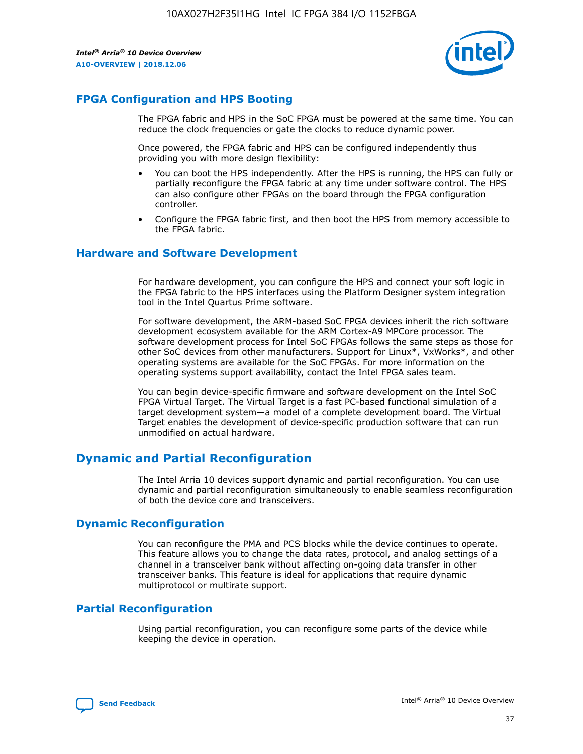

# **FPGA Configuration and HPS Booting**

The FPGA fabric and HPS in the SoC FPGA must be powered at the same time. You can reduce the clock frequencies or gate the clocks to reduce dynamic power.

Once powered, the FPGA fabric and HPS can be configured independently thus providing you with more design flexibility:

- You can boot the HPS independently. After the HPS is running, the HPS can fully or partially reconfigure the FPGA fabric at any time under software control. The HPS can also configure other FPGAs on the board through the FPGA configuration controller.
- Configure the FPGA fabric first, and then boot the HPS from memory accessible to the FPGA fabric.

## **Hardware and Software Development**

For hardware development, you can configure the HPS and connect your soft logic in the FPGA fabric to the HPS interfaces using the Platform Designer system integration tool in the Intel Quartus Prime software.

For software development, the ARM-based SoC FPGA devices inherit the rich software development ecosystem available for the ARM Cortex-A9 MPCore processor. The software development process for Intel SoC FPGAs follows the same steps as those for other SoC devices from other manufacturers. Support for Linux\*, VxWorks\*, and other operating systems are available for the SoC FPGAs. For more information on the operating systems support availability, contact the Intel FPGA sales team.

You can begin device-specific firmware and software development on the Intel SoC FPGA Virtual Target. The Virtual Target is a fast PC-based functional simulation of a target development system—a model of a complete development board. The Virtual Target enables the development of device-specific production software that can run unmodified on actual hardware.

# **Dynamic and Partial Reconfiguration**

The Intel Arria 10 devices support dynamic and partial reconfiguration. You can use dynamic and partial reconfiguration simultaneously to enable seamless reconfiguration of both the device core and transceivers.

# **Dynamic Reconfiguration**

You can reconfigure the PMA and PCS blocks while the device continues to operate. This feature allows you to change the data rates, protocol, and analog settings of a channel in a transceiver bank without affecting on-going data transfer in other transceiver banks. This feature is ideal for applications that require dynamic multiprotocol or multirate support.

# **Partial Reconfiguration**

Using partial reconfiguration, you can reconfigure some parts of the device while keeping the device in operation.

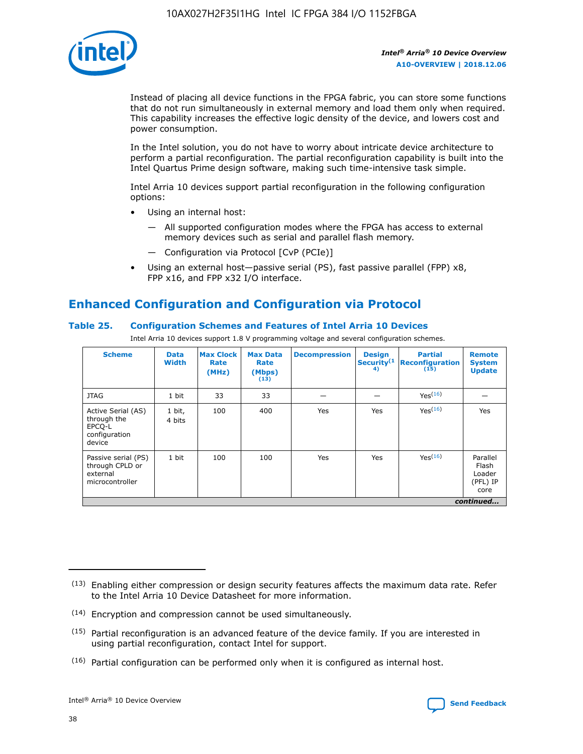

Instead of placing all device functions in the FPGA fabric, you can store some functions that do not run simultaneously in external memory and load them only when required. This capability increases the effective logic density of the device, and lowers cost and power consumption.

In the Intel solution, you do not have to worry about intricate device architecture to perform a partial reconfiguration. The partial reconfiguration capability is built into the Intel Quartus Prime design software, making such time-intensive task simple.

Intel Arria 10 devices support partial reconfiguration in the following configuration options:

- Using an internal host:
	- All supported configuration modes where the FPGA has access to external memory devices such as serial and parallel flash memory.
	- Configuration via Protocol [CvP (PCIe)]
- Using an external host—passive serial (PS), fast passive parallel (FPP) x8, FPP x16, and FPP x32 I/O interface.

# **Enhanced Configuration and Configuration via Protocol**

# **Table 25. Configuration Schemes and Features of Intel Arria 10 Devices**

Intel Arria 10 devices support 1.8 V programming voltage and several configuration schemes.

| <b>Scheme</b>                                                          | <b>Data</b><br><b>Width</b> | <b>Max Clock</b><br>Rate<br>(MHz) | <b>Max Data</b><br>Rate<br>(Mbps)<br>(13) | <b>Decompression</b> | <b>Design</b><br>Security <sup>(1</sup><br>4) | <b>Partial</b><br>Reconfiguration<br>(15) | <b>Remote</b><br><b>System</b><br><b>Update</b> |
|------------------------------------------------------------------------|-----------------------------|-----------------------------------|-------------------------------------------|----------------------|-----------------------------------------------|-------------------------------------------|-------------------------------------------------|
| <b>JTAG</b>                                                            | 1 bit                       | 33                                | 33                                        |                      |                                               | Yes(16)                                   |                                                 |
| Active Serial (AS)<br>through the<br>EPCO-L<br>configuration<br>device | 1 bit,<br>4 bits            | 100                               | 400                                       | Yes                  | Yes                                           | Yes(16)                                   | Yes                                             |
| Passive serial (PS)<br>through CPLD or<br>external<br>microcontroller  | 1 bit                       | 100                               | 100                                       | Yes                  | Yes                                           | Yes <sup>(16)</sup>                       | Parallel<br>Flash<br>Loader<br>(PFL) IP<br>core |
|                                                                        |                             |                                   |                                           |                      |                                               |                                           | continued                                       |

<sup>(13)</sup> Enabling either compression or design security features affects the maximum data rate. Refer to the Intel Arria 10 Device Datasheet for more information.

<sup>(14)</sup> Encryption and compression cannot be used simultaneously.

 $(15)$  Partial reconfiguration is an advanced feature of the device family. If you are interested in using partial reconfiguration, contact Intel for support.

 $(16)$  Partial configuration can be performed only when it is configured as internal host.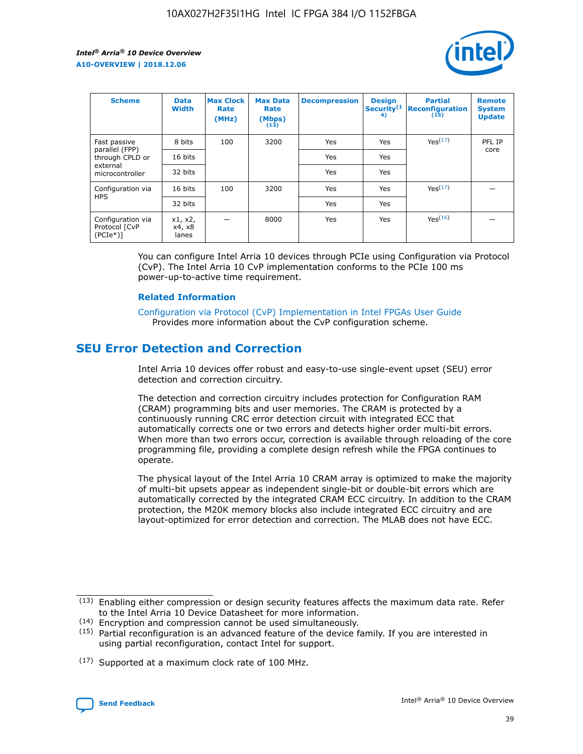

| <b>Scheme</b>                                   | <b>Data</b><br><b>Width</b> | <b>Max Clock</b><br>Rate<br>(MHz) | <b>Max Data</b><br>Rate<br>(Mbps)<br>(13) | <b>Decompression</b> | <b>Design</b><br>Security <sup>(1</sup><br>4) | <b>Partial</b><br><b>Reconfiguration</b><br>(15) | <b>Remote</b><br><b>System</b><br><b>Update</b> |
|-------------------------------------------------|-----------------------------|-----------------------------------|-------------------------------------------|----------------------|-----------------------------------------------|--------------------------------------------------|-------------------------------------------------|
| Fast passive                                    | 8 bits                      | 100                               | 3200                                      | Yes                  | Yes                                           | Yes(17)                                          | PFL IP                                          |
| parallel (FPP)<br>through CPLD or               | 16 bits                     |                                   |                                           | Yes                  | Yes                                           |                                                  | core                                            |
| external<br>microcontroller                     | 32 bits                     |                                   |                                           | Yes                  | Yes                                           |                                                  |                                                 |
| Configuration via                               | 16 bits                     | 100                               | 3200                                      | Yes                  | Yes                                           | Yes <sup>(17)</sup>                              |                                                 |
| <b>HPS</b>                                      | 32 bits                     |                                   |                                           | Yes                  | Yes                                           |                                                  |                                                 |
| Configuration via<br>Protocol [CvP<br>$(PCIe*)$ | x1, x2,<br>x4, x8<br>lanes  |                                   | 8000                                      | Yes                  | Yes                                           | Yes <sup>(16)</sup>                              |                                                 |

You can configure Intel Arria 10 devices through PCIe using Configuration via Protocol (CvP). The Intel Arria 10 CvP implementation conforms to the PCIe 100 ms power-up-to-active time requirement.

### **Related Information**

[Configuration via Protocol \(CvP\) Implementation in Intel FPGAs User Guide](https://www.intel.com/content/www/us/en/programmable/documentation/dsu1441819344145.html#dsu1442269728522) Provides more information about the CvP configuration scheme.

# **SEU Error Detection and Correction**

Intel Arria 10 devices offer robust and easy-to-use single-event upset (SEU) error detection and correction circuitry.

The detection and correction circuitry includes protection for Configuration RAM (CRAM) programming bits and user memories. The CRAM is protected by a continuously running CRC error detection circuit with integrated ECC that automatically corrects one or two errors and detects higher order multi-bit errors. When more than two errors occur, correction is available through reloading of the core programming file, providing a complete design refresh while the FPGA continues to operate.

The physical layout of the Intel Arria 10 CRAM array is optimized to make the majority of multi-bit upsets appear as independent single-bit or double-bit errors which are automatically corrected by the integrated CRAM ECC circuitry. In addition to the CRAM protection, the M20K memory blocks also include integrated ECC circuitry and are layout-optimized for error detection and correction. The MLAB does not have ECC.

(14) Encryption and compression cannot be used simultaneously.

<sup>(17)</sup> Supported at a maximum clock rate of 100 MHz.



 $(13)$  Enabling either compression or design security features affects the maximum data rate. Refer to the Intel Arria 10 Device Datasheet for more information.

 $(15)$  Partial reconfiguration is an advanced feature of the device family. If you are interested in using partial reconfiguration, contact Intel for support.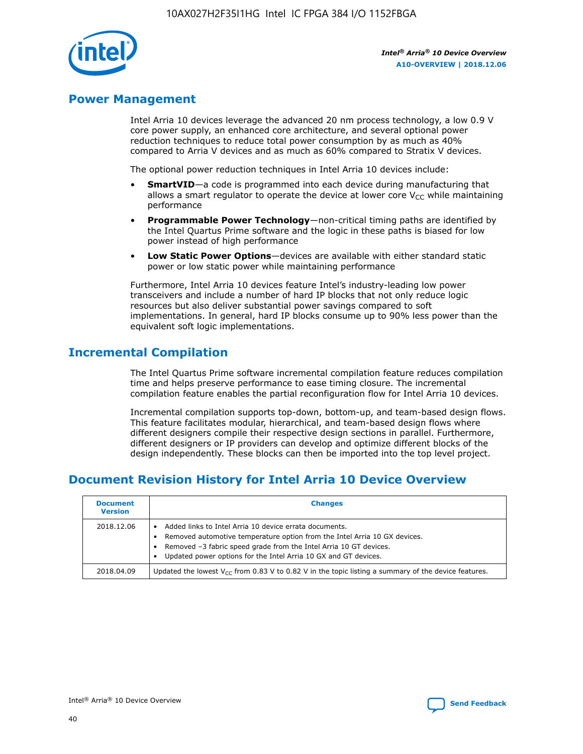

# **Power Management**

Intel Arria 10 devices leverage the advanced 20 nm process technology, a low 0.9 V core power supply, an enhanced core architecture, and several optional power reduction techniques to reduce total power consumption by as much as 40% compared to Arria V devices and as much as 60% compared to Stratix V devices.

The optional power reduction techniques in Intel Arria 10 devices include:

- **SmartVID**—a code is programmed into each device during manufacturing that allows a smart regulator to operate the device at lower core  $V_{CC}$  while maintaining performance
- **Programmable Power Technology**—non-critical timing paths are identified by the Intel Quartus Prime software and the logic in these paths is biased for low power instead of high performance
- **Low Static Power Options**—devices are available with either standard static power or low static power while maintaining performance

Furthermore, Intel Arria 10 devices feature Intel's industry-leading low power transceivers and include a number of hard IP blocks that not only reduce logic resources but also deliver substantial power savings compared to soft implementations. In general, hard IP blocks consume up to 90% less power than the equivalent soft logic implementations.

# **Incremental Compilation**

The Intel Quartus Prime software incremental compilation feature reduces compilation time and helps preserve performance to ease timing closure. The incremental compilation feature enables the partial reconfiguration flow for Intel Arria 10 devices.

Incremental compilation supports top-down, bottom-up, and team-based design flows. This feature facilitates modular, hierarchical, and team-based design flows where different designers compile their respective design sections in parallel. Furthermore, different designers or IP providers can develop and optimize different blocks of the design independently. These blocks can then be imported into the top level project.

# **Document Revision History for Intel Arria 10 Device Overview**

| <b>Document</b><br><b>Version</b> | <b>Changes</b>                                                                                                                                                                                                                                                              |
|-----------------------------------|-----------------------------------------------------------------------------------------------------------------------------------------------------------------------------------------------------------------------------------------------------------------------------|
| 2018.12.06                        | Added links to Intel Arria 10 device errata documents.<br>Removed automotive temperature option from the Intel Arria 10 GX devices.<br>Removed -3 fabric speed grade from the Intel Arria 10 GT devices.<br>Updated power options for the Intel Arria 10 GX and GT devices. |
| 2018.04.09                        | Updated the lowest $V_{CC}$ from 0.83 V to 0.82 V in the topic listing a summary of the device features.                                                                                                                                                                    |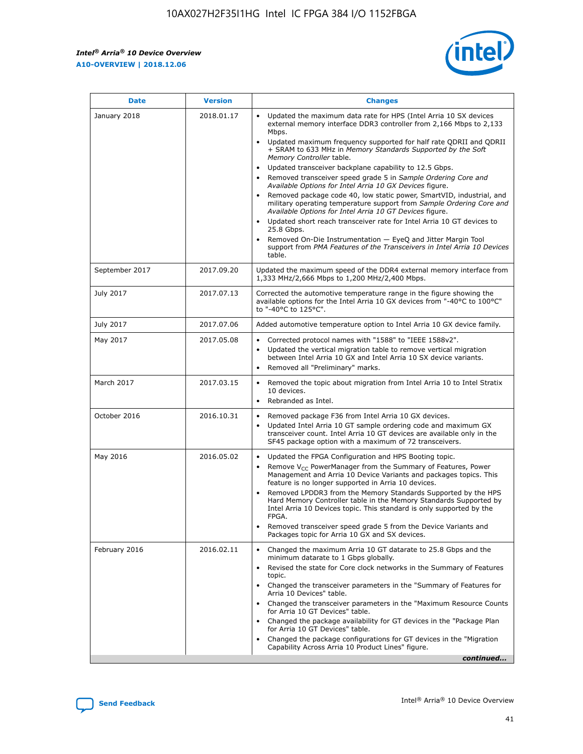*Intel® Arria® 10 Device Overview* **A10-OVERVIEW | 2018.12.06**



| <b>Date</b>    | <b>Version</b> | <b>Changes</b>                                                                                                                                                                                                                                                                                                                                                                                                                                                                                                                                                                                                                                                                                                                                                                                                                                                                                                                                                            |
|----------------|----------------|---------------------------------------------------------------------------------------------------------------------------------------------------------------------------------------------------------------------------------------------------------------------------------------------------------------------------------------------------------------------------------------------------------------------------------------------------------------------------------------------------------------------------------------------------------------------------------------------------------------------------------------------------------------------------------------------------------------------------------------------------------------------------------------------------------------------------------------------------------------------------------------------------------------------------------------------------------------------------|
| January 2018   | 2018.01.17     | Updated the maximum data rate for HPS (Intel Arria 10 SX devices<br>external memory interface DDR3 controller from 2,166 Mbps to 2,133<br>Mbps.<br>Updated maximum frequency supported for half rate QDRII and QDRII<br>+ SRAM to 633 MHz in Memory Standards Supported by the Soft<br>Memory Controller table.<br>Updated transceiver backplane capability to 12.5 Gbps.<br>$\bullet$<br>Removed transceiver speed grade 5 in Sample Ordering Core and<br>Available Options for Intel Arria 10 GX Devices figure.<br>Removed package code 40, low static power, SmartVID, industrial, and<br>military operating temperature support from Sample Ordering Core and<br>Available Options for Intel Arria 10 GT Devices figure.<br>Updated short reach transceiver rate for Intel Arria 10 GT devices to<br>25.8 Gbps.<br>Removed On-Die Instrumentation - EyeQ and Jitter Margin Tool<br>support from PMA Features of the Transceivers in Intel Arria 10 Devices<br>table. |
| September 2017 | 2017.09.20     | Updated the maximum speed of the DDR4 external memory interface from<br>1,333 MHz/2,666 Mbps to 1,200 MHz/2,400 Mbps.                                                                                                                                                                                                                                                                                                                                                                                                                                                                                                                                                                                                                                                                                                                                                                                                                                                     |
| July 2017      | 2017.07.13     | Corrected the automotive temperature range in the figure showing the<br>available options for the Intel Arria 10 GX devices from "-40°C to 100°C"<br>to "-40°C to 125°C".                                                                                                                                                                                                                                                                                                                                                                                                                                                                                                                                                                                                                                                                                                                                                                                                 |
| July 2017      | 2017.07.06     | Added automotive temperature option to Intel Arria 10 GX device family.                                                                                                                                                                                                                                                                                                                                                                                                                                                                                                                                                                                                                                                                                                                                                                                                                                                                                                   |
| May 2017       | 2017.05.08     | Corrected protocol names with "1588" to "IEEE 1588v2".<br>$\bullet$<br>Updated the vertical migration table to remove vertical migration<br>$\bullet$<br>between Intel Arria 10 GX and Intel Arria 10 SX device variants.<br>Removed all "Preliminary" marks.<br>$\bullet$                                                                                                                                                                                                                                                                                                                                                                                                                                                                                                                                                                                                                                                                                                |
| March 2017     | 2017.03.15     | Removed the topic about migration from Intel Arria 10 to Intel Stratix<br>10 devices.<br>Rebranded as Intel.<br>$\bullet$                                                                                                                                                                                                                                                                                                                                                                                                                                                                                                                                                                                                                                                                                                                                                                                                                                                 |
| October 2016   | 2016.10.31     | Removed package F36 from Intel Arria 10 GX devices.<br>Updated Intel Arria 10 GT sample ordering code and maximum GX<br>$\bullet$<br>transceiver count. Intel Arria 10 GT devices are available only in the<br>SF45 package option with a maximum of 72 transceivers.                                                                                                                                                                                                                                                                                                                                                                                                                                                                                                                                                                                                                                                                                                     |
| May 2016       | 2016.05.02     | Updated the FPGA Configuration and HPS Booting topic.<br>$\bullet$<br>Remove V <sub>CC</sub> PowerManager from the Summary of Features, Power<br>Management and Arria 10 Device Variants and packages topics. This<br>feature is no longer supported in Arria 10 devices.<br>Removed LPDDR3 from the Memory Standards Supported by the HPS<br>Hard Memory Controller table in the Memory Standards Supported by<br>Intel Arria 10 Devices topic. This standard is only supported by the<br>FPGA.<br>Removed transceiver speed grade 5 from the Device Variants and<br>Packages topic for Arria 10 GX and SX devices.                                                                                                                                                                                                                                                                                                                                                      |
| February 2016  | 2016.02.11     | Changed the maximum Arria 10 GT datarate to 25.8 Gbps and the<br>minimum datarate to 1 Gbps globally.<br>Revised the state for Core clock networks in the Summary of Features<br>$\bullet$<br>topic.<br>Changed the transceiver parameters in the "Summary of Features for<br>$\bullet$<br>Arria 10 Devices" table.<br>• Changed the transceiver parameters in the "Maximum Resource Counts<br>for Arria 10 GT Devices" table.<br>Changed the package availability for GT devices in the "Package Plan<br>for Arria 10 GT Devices" table.<br>Changed the package configurations for GT devices in the "Migration"<br>Capability Across Arria 10 Product Lines" figure.<br>continued                                                                                                                                                                                                                                                                                       |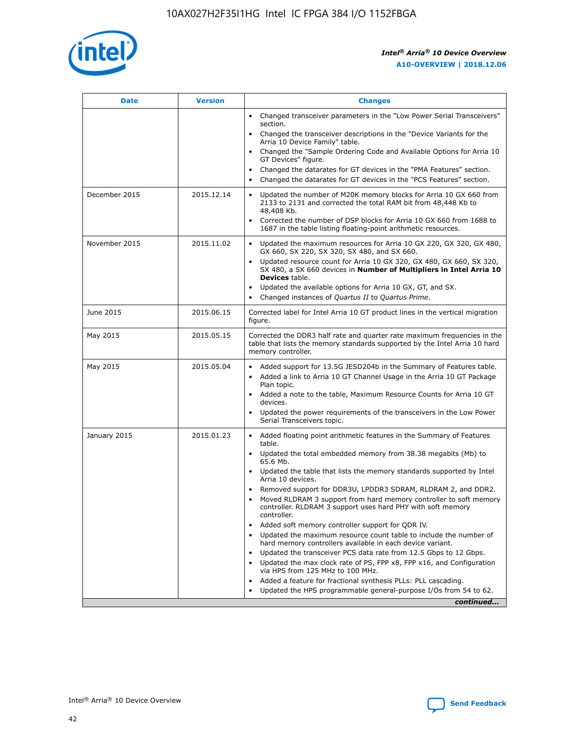

| <b>Date</b>   | <b>Version</b> | <b>Changes</b>                                                                                                                                                               |
|---------------|----------------|------------------------------------------------------------------------------------------------------------------------------------------------------------------------------|
|               |                | • Changed transceiver parameters in the "Low Power Serial Transceivers"<br>section.                                                                                          |
|               |                | • Changed the transceiver descriptions in the "Device Variants for the<br>Arria 10 Device Family" table.                                                                     |
|               |                | Changed the "Sample Ordering Code and Available Options for Arria 10<br>$\bullet$<br>GT Devices" figure.                                                                     |
|               |                | Changed the datarates for GT devices in the "PMA Features" section.                                                                                                          |
|               |                | Changed the datarates for GT devices in the "PCS Features" section.<br>$\bullet$                                                                                             |
| December 2015 | 2015.12.14     | Updated the number of M20K memory blocks for Arria 10 GX 660 from<br>2133 to 2131 and corrected the total RAM bit from 48,448 Kb to<br>48,408 Kb.                            |
|               |                | Corrected the number of DSP blocks for Arria 10 GX 660 from 1688 to<br>1687 in the table listing floating-point arithmetic resources.                                        |
| November 2015 | 2015.11.02     | Updated the maximum resources for Arria 10 GX 220, GX 320, GX 480,<br>$\bullet$<br>GX 660, SX 220, SX 320, SX 480, and SX 660.                                               |
|               |                | • Updated resource count for Arria 10 GX 320, GX 480, GX 660, SX 320,<br>SX 480, a SX 660 devices in Number of Multipliers in Intel Arria 10<br><b>Devices</b> table.        |
|               |                | Updated the available options for Arria 10 GX, GT, and SX.                                                                                                                   |
|               |                | Changed instances of Quartus II to Quartus Prime.<br>$\bullet$                                                                                                               |
| June 2015     | 2015.06.15     | Corrected label for Intel Arria 10 GT product lines in the vertical migration<br>figure.                                                                                     |
| May 2015      | 2015.05.15     | Corrected the DDR3 half rate and quarter rate maximum frequencies in the<br>table that lists the memory standards supported by the Intel Arria 10 hard<br>memory controller. |
| May 2015      | 2015.05.04     | • Added support for 13.5G JESD204b in the Summary of Features table.                                                                                                         |
|               |                | • Added a link to Arria 10 GT Channel Usage in the Arria 10 GT Package<br>Plan topic.                                                                                        |
|               |                | • Added a note to the table, Maximum Resource Counts for Arria 10 GT<br>devices.                                                                                             |
|               |                | • Updated the power requirements of the transceivers in the Low Power<br>Serial Transceivers topic.                                                                          |
| January 2015  | 2015.01.23     | • Added floating point arithmetic features in the Summary of Features<br>table.                                                                                              |
|               |                | • Updated the total embedded memory from 38.38 megabits (Mb) to<br>65.6 Mb.                                                                                                  |
|               |                | • Updated the table that lists the memory standards supported by Intel<br>Arria 10 devices.                                                                                  |
|               |                | Removed support for DDR3U, LPDDR3 SDRAM, RLDRAM 2, and DDR2.                                                                                                                 |
|               |                | Moved RLDRAM 3 support from hard memory controller to soft memory<br>controller. RLDRAM 3 support uses hard PHY with soft memory<br>controller.                              |
|               |                | Added soft memory controller support for QDR IV.<br>٠                                                                                                                        |
|               |                | Updated the maximum resource count table to include the number of<br>hard memory controllers available in each device variant.                                               |
|               |                | Updated the transceiver PCS data rate from 12.5 Gbps to 12 Gbps.<br>$\bullet$                                                                                                |
|               |                | Updated the max clock rate of PS, FPP x8, FPP x16, and Configuration<br>via HPS from 125 MHz to 100 MHz.                                                                     |
|               |                | Added a feature for fractional synthesis PLLs: PLL cascading.                                                                                                                |
|               |                | Updated the HPS programmable general-purpose I/Os from 54 to 62.<br>$\bullet$                                                                                                |
|               |                | continued                                                                                                                                                                    |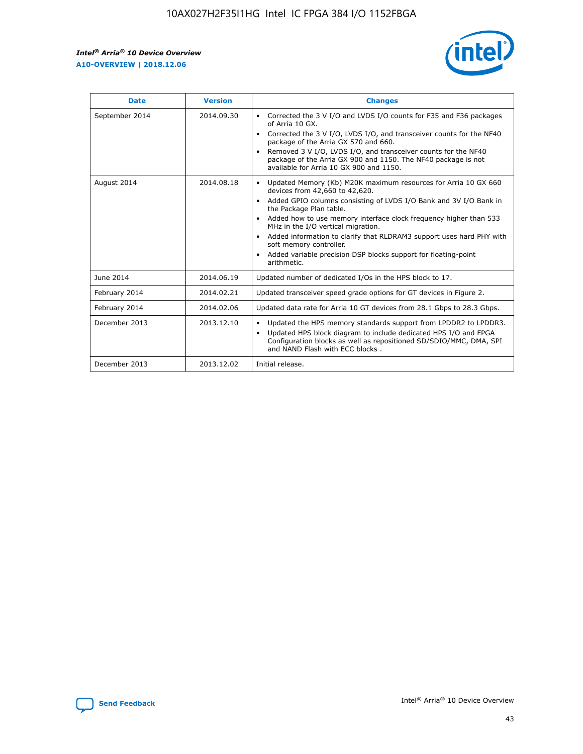r



| <b>Date</b>    | <b>Version</b> | <b>Changes</b>                                                                                                                                                                                                                                                                                                                                                                                                                                                                                                                                      |
|----------------|----------------|-----------------------------------------------------------------------------------------------------------------------------------------------------------------------------------------------------------------------------------------------------------------------------------------------------------------------------------------------------------------------------------------------------------------------------------------------------------------------------------------------------------------------------------------------------|
| September 2014 | 2014.09.30     | Corrected the 3 V I/O and LVDS I/O counts for F35 and F36 packages<br>$\bullet$<br>of Arria 10 GX.<br>Corrected the 3 V I/O, LVDS I/O, and transceiver counts for the NF40<br>$\bullet$<br>package of the Arria GX 570 and 660.<br>Removed 3 V I/O, LVDS I/O, and transceiver counts for the NF40<br>package of the Arria GX 900 and 1150. The NF40 package is not<br>available for Arria 10 GX 900 and 1150.                                                                                                                                       |
| August 2014    | 2014.08.18     | Updated Memory (Kb) M20K maximum resources for Arria 10 GX 660<br>devices from 42,660 to 42,620.<br>Added GPIO columns consisting of LVDS I/O Bank and 3V I/O Bank in<br>$\bullet$<br>the Package Plan table.<br>Added how to use memory interface clock frequency higher than 533<br>$\bullet$<br>MHz in the I/O vertical migration.<br>Added information to clarify that RLDRAM3 support uses hard PHY with<br>$\bullet$<br>soft memory controller.<br>Added variable precision DSP blocks support for floating-point<br>$\bullet$<br>arithmetic. |
| June 2014      | 2014.06.19     | Updated number of dedicated I/Os in the HPS block to 17.                                                                                                                                                                                                                                                                                                                                                                                                                                                                                            |
| February 2014  | 2014.02.21     | Updated transceiver speed grade options for GT devices in Figure 2.                                                                                                                                                                                                                                                                                                                                                                                                                                                                                 |
| February 2014  | 2014.02.06     | Updated data rate for Arria 10 GT devices from 28.1 Gbps to 28.3 Gbps.                                                                                                                                                                                                                                                                                                                                                                                                                                                                              |
| December 2013  | 2013.12.10     | Updated the HPS memory standards support from LPDDR2 to LPDDR3.<br>Updated HPS block diagram to include dedicated HPS I/O and FPGA<br>$\bullet$<br>Configuration blocks as well as repositioned SD/SDIO/MMC, DMA, SPI<br>and NAND Flash with ECC blocks.                                                                                                                                                                                                                                                                                            |
| December 2013  | 2013.12.02     | Initial release.                                                                                                                                                                                                                                                                                                                                                                                                                                                                                                                                    |